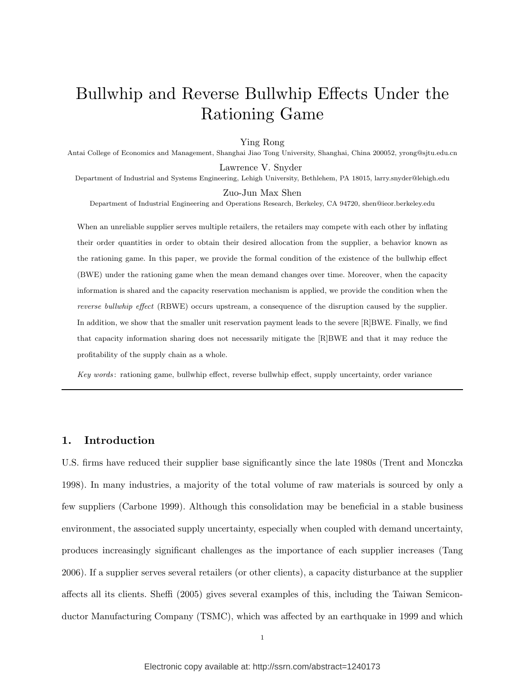# Bullwhip and Reverse Bullwhip Effects Under the Rationing Game

## Ying Rong

Antai College of Economics and Management, Shanghai Jiao Tong University, Shanghai, China 200052, yrong@sjtu.edu.cn

Lawrence V. Snyder Department of Industrial and Systems Engineering, Lehigh University, Bethlehem, PA 18015, larry.snyder@lehigh.edu

Zuo-Jun Max Shen

Department of Industrial Engineering and Operations Research, Berkeley, CA 94720, shen@ieor.berkeley.edu

When an unreliable supplier serves multiple retailers, the retailers may compete with each other by inflating their order quantities in order to obtain their desired allocation from the supplier, a behavior known as the rationing game. In this paper, we provide the formal condition of the existence of the bullwhip effect (BWE) under the rationing game when the mean demand changes over time. Moreover, when the capacity information is shared and the capacity reservation mechanism is applied, we provide the condition when the *reverse bullwhip effect* (RBWE) occurs upstream, a consequence of the disruption caused by the supplier. In addition, we show that the smaller unit reservation payment leads to the severe [R]BWE. Finally, we find that capacity information sharing does not necessarily mitigate the [R]BWE and that it may reduce the profitability of the supply chain as a whole.

*Key words* : rationing game, bullwhip effect, reverse bullwhip effect, supply uncertainty, order variance

# **1. Introduction**

U.S. firms have reduced their supplier base significantly since the late 1980s (Trent and Monczka 1998). In many industries, a majority of the total volume of raw materials is sourced by only a few suppliers (Carbone 1999). Although this consolidation may be beneficial in a stable business environment, the associated supply uncertainty, especially when coupled with demand uncertainty, produces increasingly significant challenges as the importance of each supplier increases (Tang 2006). If a supplier serves several retailers (or other clients), a capacity disturbance at the supplier affects all its clients. Sheffi (2005) gives several examples of this, including the Taiwan Semiconductor Manufacturing Company (TSMC), which was affected by an earthquake in 1999 and which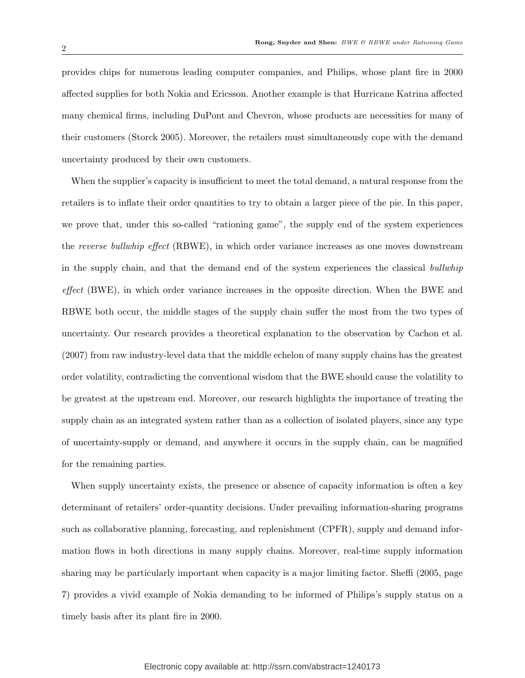provides chips for numerous leading computer companies, and Philips, whose plant fire in 2000 affected supplies for both Nokia and Ericsson. Another example is that Hurricane Katrina affected many chemical firms, including DuPont and Chevron, whose products are necessities for many of their customers (Storck 2005). Moreover, the retailers must simultaneously cope with the demand uncertainty produced by their own customers.

When the supplier's capacity is insufficient to meet the total demand, a natural response from the retailers is to inflate their order quantities to try to obtain a larger piece of the pie. In this paper, we prove that, under this so-called "rationing game", the supply end of the system experiences the *reverse bullwhip effect* (RBWE), in which order variance increases as one moves downstream in the supply chain, and that the demand end of the system experiences the classical *bullwhip effect* (BWE), in which order variance increases in the opposite direction. When the BWE and RBWE both occur, the middle stages of the supply chain suffer the most from the two types of uncertainty. Our research provides a theoretical explanation to the observation by Cachon et al. (2007) from raw industry-level data that the middle echelon of many supply chains has the greatest order volatility, contradicting the conventional wisdom that the BWE should cause the volatility to be greatest at the upstream end. Moreover, our research highlights the importance of treating the supply chain as an integrated system rather than as a collection of isolated players, since any type of uncertainty-supply or demand, and anywhere it occurs in the supply chain, can be magnified for the remaining parties.

When supply uncertainty exists, the presence or absence of capacity information is often a key determinant of retailers' order-quantity decisions. Under prevailing information-sharing programs such as collaborative planning, forecasting, and replenishment (CPFR), supply and demand information flows in both directions in many supply chains. Moreover, real-time supply information sharing may be particularly important when capacity is a major limiting factor. Sheffi (2005, page 7) provides a vivid example of Nokia demanding to be informed of Philips's supply status on a timely basis after its plant fire in 2000.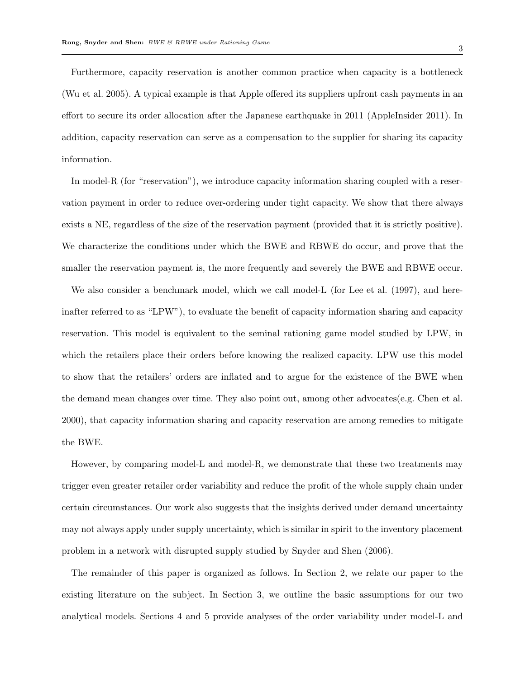Furthermore, capacity reservation is another common practice when capacity is a bottleneck (Wu et al. 2005). A typical example is that Apple offered its suppliers upfront cash payments in an effort to secure its order allocation after the Japanese earthquake in 2011 (AppleInsider 2011). In addition, capacity reservation can serve as a compensation to the supplier for sharing its capacity information.

In model-R (for "reservation"), we introduce capacity information sharing coupled with a reservation payment in order to reduce over-ordering under tight capacity. We show that there always exists a NE, regardless of the size of the reservation payment (provided that it is strictly positive). We characterize the conditions under which the BWE and RBWE do occur, and prove that the smaller the reservation payment is, the more frequently and severely the BWE and RBWE occur.

We also consider a benchmark model, which we call model-L (for Lee et al. (1997), and hereinafter referred to as "LPW"), to evaluate the benefit of capacity information sharing and capacity reservation. This model is equivalent to the seminal rationing game model studied by LPW, in which the retailers place their orders before knowing the realized capacity. LPW use this model to show that the retailers' orders are inflated and to argue for the existence of the BWE when the demand mean changes over time. They also point out, among other advocates(e.g. Chen et al. 2000), that capacity information sharing and capacity reservation are among remedies to mitigate the BWE.

However, by comparing model-L and model-R, we demonstrate that these two treatments may trigger even greater retailer order variability and reduce the profit of the whole supply chain under certain circumstances. Our work also suggests that the insights derived under demand uncertainty may not always apply under supply uncertainty, which is similar in spirit to the inventory placement problem in a network with disrupted supply studied by Snyder and Shen (2006).

The remainder of this paper is organized as follows. In Section 2, we relate our paper to the existing literature on the subject. In Section 3, we outline the basic assumptions for our two analytical models. Sections 4 and 5 provide analyses of the order variability under model-L and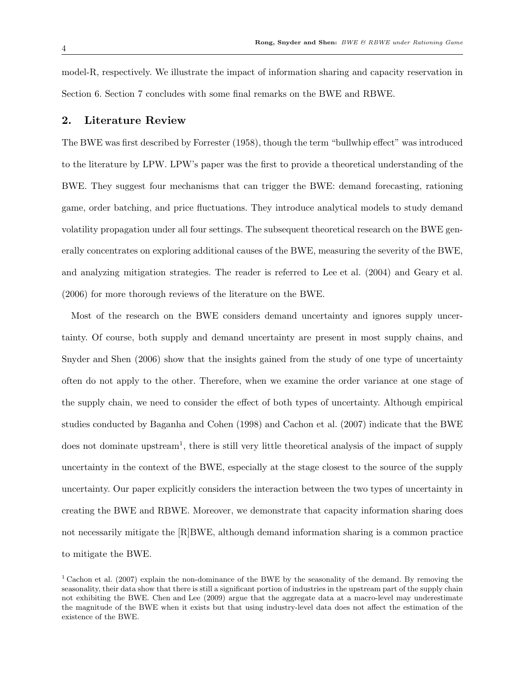model-R, respectively. We illustrate the impact of information sharing and capacity reservation in Section 6. Section 7 concludes with some final remarks on the BWE and RBWE.

# **2. Literature Review**

The BWE was first described by Forrester (1958), though the term "bullwhip effect" was introduced to the literature by LPW. LPW's paper was the first to provide a theoretical understanding of the BWE. They suggest four mechanisms that can trigger the BWE: demand forecasting, rationing game, order batching, and price fluctuations. They introduce analytical models to study demand volatility propagation under all four settings. The subsequent theoretical research on the BWE generally concentrates on exploring additional causes of the BWE, measuring the severity of the BWE, and analyzing mitigation strategies. The reader is referred to Lee et al. (2004) and Geary et al. (2006) for more thorough reviews of the literature on the BWE.

Most of the research on the BWE considers demand uncertainty and ignores supply uncertainty. Of course, both supply and demand uncertainty are present in most supply chains, and Snyder and Shen (2006) show that the insights gained from the study of one type of uncertainty often do not apply to the other. Therefore, when we examine the order variance at one stage of the supply chain, we need to consider the effect of both types of uncertainty. Although empirical studies conducted by Baganha and Cohen (1998) and Cachon et al. (2007) indicate that the BWE does not dominate upstream<sup>1</sup>, there is still very little theoretical analysis of the impact of supply uncertainty in the context of the BWE, especially at the stage closest to the source of the supply uncertainty. Our paper explicitly considers the interaction between the two types of uncertainty in creating the BWE and RBWE. Moreover, we demonstrate that capacity information sharing does not necessarily mitigate the [R]BWE, although demand information sharing is a common practice to mitigate the BWE.

<sup>1</sup> Cachon et al. (2007) explain the non-dominance of the BWE by the seasonality of the demand. By removing the seasonality, their data show that there is still a significant portion of industries in the upstream part of the supply chain not exhibiting the BWE. Chen and Lee (2009) argue that the aggregate data at a macro-level may underestimate the magnitude of the BWE when it exists but that using industry-level data does not affect the estimation of the existence of the BWE.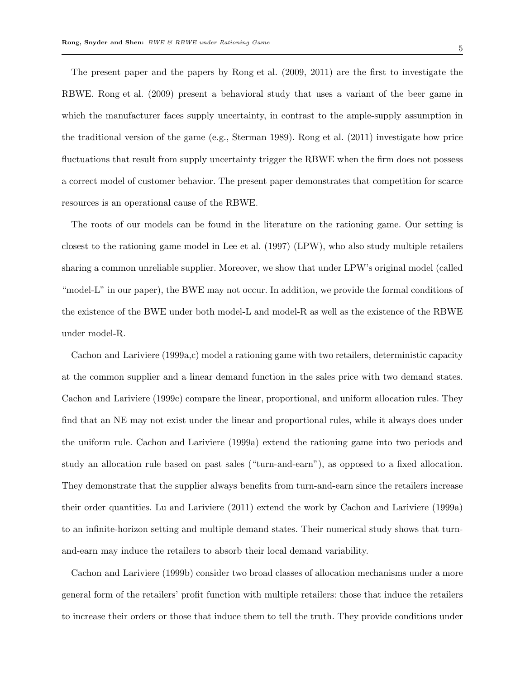The present paper and the papers by Rong et al. (2009, 2011) are the first to investigate the RBWE. Rong et al. (2009) present a behavioral study that uses a variant of the beer game in which the manufacturer faces supply uncertainty, in contrast to the ample-supply assumption in the traditional version of the game (e.g., Sterman 1989). Rong et al. (2011) investigate how price fluctuations that result from supply uncertainty trigger the RBWE when the firm does not possess a correct model of customer behavior. The present paper demonstrates that competition for scarce resources is an operational cause of the RBWE.

The roots of our models can be found in the literature on the rationing game. Our setting is closest to the rationing game model in Lee et al. (1997) (LPW), who also study multiple retailers sharing a common unreliable supplier. Moreover, we show that under LPW's original model (called "model-L" in our paper), the BWE may not occur. In addition, we provide the formal conditions of the existence of the BWE under both model-L and model-R as well as the existence of the RBWE under model-R.

Cachon and Lariviere (1999a,c) model a rationing game with two retailers, deterministic capacity at the common supplier and a linear demand function in the sales price with two demand states. Cachon and Lariviere (1999c) compare the linear, proportional, and uniform allocation rules. They find that an NE may not exist under the linear and proportional rules, while it always does under the uniform rule. Cachon and Lariviere (1999a) extend the rationing game into two periods and study an allocation rule based on past sales ("turn-and-earn"), as opposed to a fixed allocation. They demonstrate that the supplier always benefits from turn-and-earn since the retailers increase their order quantities. Lu and Lariviere (2011) extend the work by Cachon and Lariviere (1999a) to an infinite-horizon setting and multiple demand states. Their numerical study shows that turnand-earn may induce the retailers to absorb their local demand variability.

Cachon and Lariviere (1999b) consider two broad classes of allocation mechanisms under a more general form of the retailers' profit function with multiple retailers: those that induce the retailers to increase their orders or those that induce them to tell the truth. They provide conditions under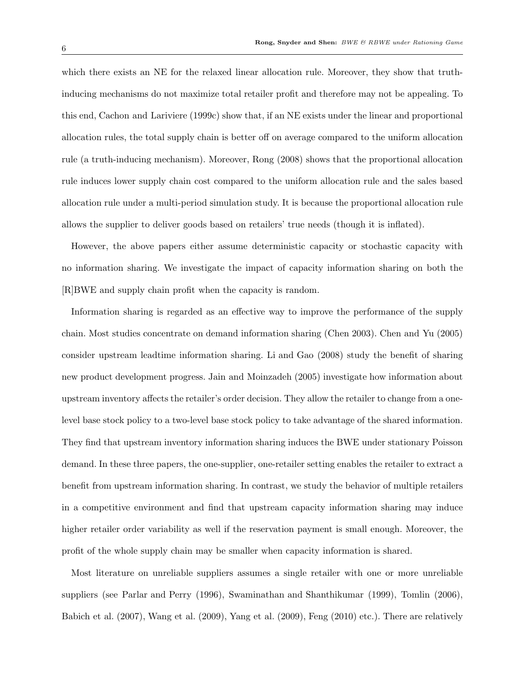which there exists an NE for the relaxed linear allocation rule. Moreover, they show that truthinducing mechanisms do not maximize total retailer profit and therefore may not be appealing. To this end, Cachon and Lariviere (1999c) show that, if an NE exists under the linear and proportional allocation rules, the total supply chain is better off on average compared to the uniform allocation rule (a truth-inducing mechanism). Moreover, Rong (2008) shows that the proportional allocation rule induces lower supply chain cost compared to the uniform allocation rule and the sales based allocation rule under a multi-period simulation study. It is because the proportional allocation rule allows the supplier to deliver goods based on retailers' true needs (though it is inflated).

However, the above papers either assume deterministic capacity or stochastic capacity with no information sharing. We investigate the impact of capacity information sharing on both the [R]BWE and supply chain profit when the capacity is random.

Information sharing is regarded as an effective way to improve the performance of the supply chain. Most studies concentrate on demand information sharing (Chen 2003). Chen and Yu (2005) consider upstream leadtime information sharing. Li and Gao (2008) study the benefit of sharing new product development progress. Jain and Moinzadeh (2005) investigate how information about upstream inventory affects the retailer's order decision. They allow the retailer to change from a onelevel base stock policy to a two-level base stock policy to take advantage of the shared information. They find that upstream inventory information sharing induces the BWE under stationary Poisson demand. In these three papers, the one-supplier, one-retailer setting enables the retailer to extract a benefit from upstream information sharing. In contrast, we study the behavior of multiple retailers in a competitive environment and find that upstream capacity information sharing may induce higher retailer order variability as well if the reservation payment is small enough. Moreover, the profit of the whole supply chain may be smaller when capacity information is shared.

Most literature on unreliable suppliers assumes a single retailer with one or more unreliable suppliers (see Parlar and Perry (1996), Swaminathan and Shanthikumar (1999), Tomlin (2006), Babich et al. (2007), Wang et al. (2009), Yang et al. (2009), Feng (2010) etc.). There are relatively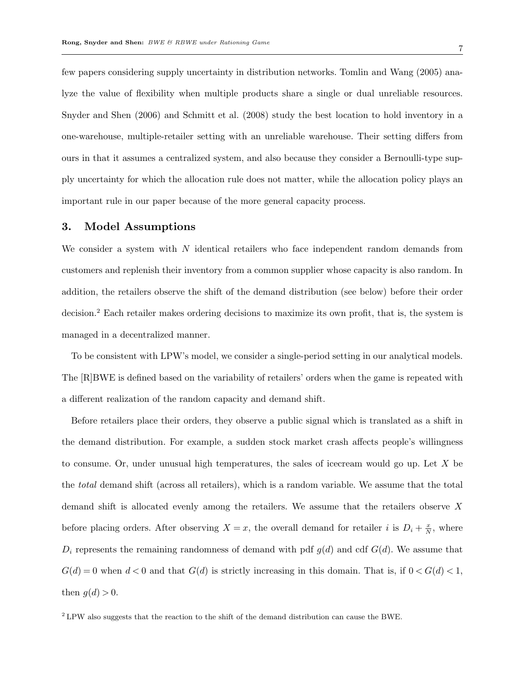few papers considering supply uncertainty in distribution networks. Tomlin and Wang (2005) analyze the value of flexibility when multiple products share a single or dual unreliable resources. Snyder and Shen (2006) and Schmitt et al. (2008) study the best location to hold inventory in a one-warehouse, multiple-retailer setting with an unreliable warehouse. Their setting differs from ours in that it assumes a centralized system, and also because they consider a Bernoulli-type supply uncertainty for which the allocation rule does not matter, while the allocation policy plays an important rule in our paper because of the more general capacity process.

# **3. Model Assumptions**

We consider a system with *N* identical retailers who face independent random demands from customers and replenish their inventory from a common supplier whose capacity is also random. In addition, the retailers observe the shift of the demand distribution (see below) before their order decision.<sup>2</sup> Each retailer makes ordering decisions to maximize its own profit, that is, the system is managed in a decentralized manner.

To be consistent with LPW's model, we consider a single-period setting in our analytical models. The [R]BWE is defined based on the variability of retailers' orders when the game is repeated with a different realization of the random capacity and demand shift.

Before retailers place their orders, they observe a public signal which is translated as a shift in the demand distribution. For example, a sudden stock market crash affects people's willingness to consume. Or, under unusual high temperatures, the sales of icecream would go up. Let *X* be the *total* demand shift (across all retailers), which is a random variable. We assume that the total demand shift is allocated evenly among the retailers. We assume that the retailers observe *X* before placing orders. After observing  $X = x$ , the overall demand for retailer *i* is  $D_i + \frac{x}{N}$  $\frac{x}{N}$ , where  $D_i$  represents the remaining randomness of demand with pdf  $g(d)$  and cdf  $G(d)$ . We assume that  $G(d) = 0$  when  $d < 0$  and that  $G(d)$  is strictly increasing in this domain. That is, if  $0 < G(d) < 1$ , then  $g(d) > 0$ .

<sup>2</sup> LPW also suggests that the reaction to the shift of the demand distribution can cause the BWE.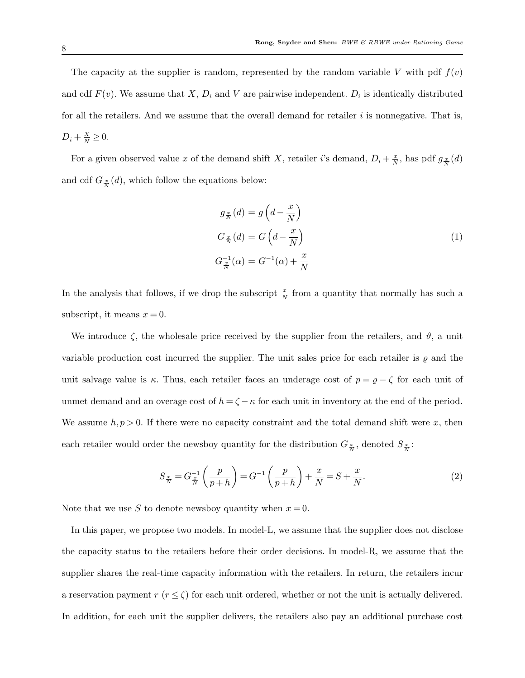The capacity at the supplier is random, represented by the random variable *V* with pdf  $f(v)$ and cdf  $F(v)$ . We assume that  $X, D_i$  and  $V$  are pairwise independent.  $D_i$  is identically distributed for all the retailers. And we assume that the overall demand for retailer *i* is nonnegative. That is,  $D_i + \frac{X}{N} \geq 0.$ 

For a given observed value *x* of the demand shift *X*, retailer *i*'s demand,  $D_i + \frac{x}{N}$  $\frac{x}{N}$ , has pdf  $g_{\frac{x}{N}}(d)$ and cdf  $G_{\frac{x}{N}}(d)$ , which follow the equations below:

$$
g_{\frac{x}{N}}(d) = g\left(d - \frac{x}{N}\right)
$$
  
\n
$$
G_{\frac{x}{N}}(d) = G\left(d - \frac{x}{N}\right)
$$
  
\n
$$
G_{\frac{x}{N}}^{-1}(\alpha) = G^{-1}(\alpha) + \frac{x}{N}
$$
\n(1)

In the analysis that follows, if we drop the subscript  $\frac{x}{N}$  from a quantity that normally has such a subscript, it means  $x = 0$ .

We introduce  $\zeta$ , the wholesale price received by the supplier from the retailers, and  $\vartheta$ , a unit variable production cost incurred the supplier. The unit sales price for each retailer is *ϱ* and the unit salvage value is  $\kappa$ . Thus, each retailer faces an underage cost of  $p = \varrho - \zeta$  for each unit of unmet demand and an overage cost of  $h = \zeta - \kappa$  for each unit in inventory at the end of the period. We assume  $h, p > 0$ . If there were no capacity constraint and the total demand shift were x, then each retailer would order the newsboy quantity for the distribution  $G_{\frac{x}{N}}$ , denoted  $S_{\frac{x}{N}}$ :

$$
S_{\frac{x}{N}} = G_{\frac{x}{N}}^{-1} \left( \frac{p}{p+h} \right) = G^{-1} \left( \frac{p}{p+h} \right) + \frac{x}{N} = S + \frac{x}{N}.
$$
 (2)

Note that we use *S* to denote newsboy quantity when  $x = 0$ .

In this paper, we propose two models. In model-L, we assume that the supplier does not disclose the capacity status to the retailers before their order decisions. In model-R, we assume that the supplier shares the real-time capacity information with the retailers. In return, the retailers incur a reservation payment  $r (r \leq \zeta)$  for each unit ordered, whether or not the unit is actually delivered. In addition, for each unit the supplier delivers, the retailers also pay an additional purchase cost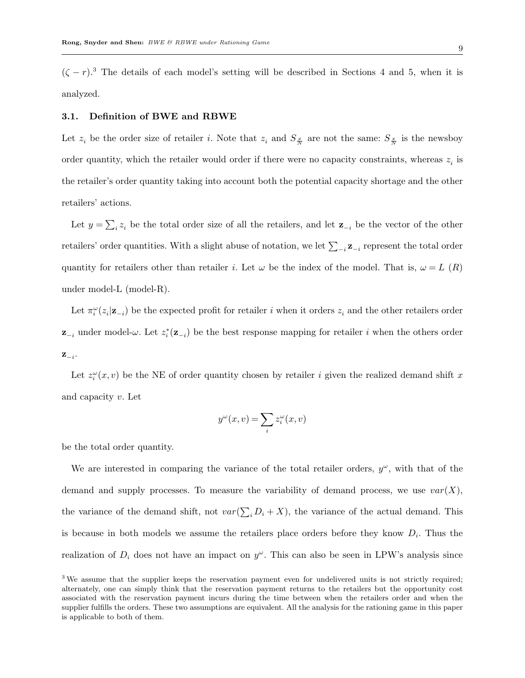$(\zeta - r)^3$ . The details of each model's setting will be described in Sections 4 and 5, when it is analyzed.

#### **3.1. Definition of BWE and RBWE**

Let  $z_i$  be the order size of retailer *i*. Note that  $z_i$  and  $S_{\frac{x}{N}}$  are not the same:  $S_{\frac{x}{N}}$  is the newsboy order quantity, which the retailer would order if there were no capacity constraints, whereas  $z_i$  is the retailer's order quantity taking into account both the potential capacity shortage and the other retailers' actions.

Let  $y = \sum_i z_i$  be the total order size of all the retailers, and let  $\mathbf{z}_{-i}$  be the vector of the other retailers' order quantities. With a slight abuse of notation, we let  $\sum_{-i}$ **z**<sub> $-i$ </sub> represent the total order quantity for retailers other than retailer *i*. Let  $\omega$  be the index of the model. That is,  $\omega = L(R)$ under model-L (model-R).

Let  $\pi_i^{\omega}(z_i|\mathbf{z}_{-i})$  be the expected profit for retailer *i* when it orders  $z_i$  and the other retailers order **z**<sub>−*i*</sub> under model- $\omega$ . Let  $z_i^*(\mathbf{z}_{-i})$  be the best response mapping for retailer *i* when the others order **z***−i* .

Let  $z_i^{\omega}(x, v)$  be the NE of order quantity chosen by retailer *i* given the realized demand shift *x* and capacity *v*. Let

$$
y^{\omega}(x,v) = \sum_{i} z_i^{\omega}(x,v)
$$

be the total order quantity.

We are interested in comparing the variance of the total retailer orders,  $y^{\omega}$ , with that of the demand and supply processes. To measure the variability of demand process, we use  $var(X)$ , the variance of the demand shift, not  $var(\sum_i D_i + X)$ , the variance of the actual demand. This is because in both models we assume the retailers place orders before they know *D<sup>i</sup>* . Thus the realization of  $D_i$  does not have an impact on  $y^{\omega}$ . This can also be seen in LPW's analysis since

<sup>&</sup>lt;sup>3</sup> We assume that the supplier keeps the reservation payment even for undelivered units is not strictly required; alternately, one can simply think that the reservation payment returns to the retailers but the opportunity cost associated with the reservation payment incurs during the time between when the retailers order and when the supplier fulfills the orders. These two assumptions are equivalent. All the analysis for the rationing game in this paper is applicable to both of them.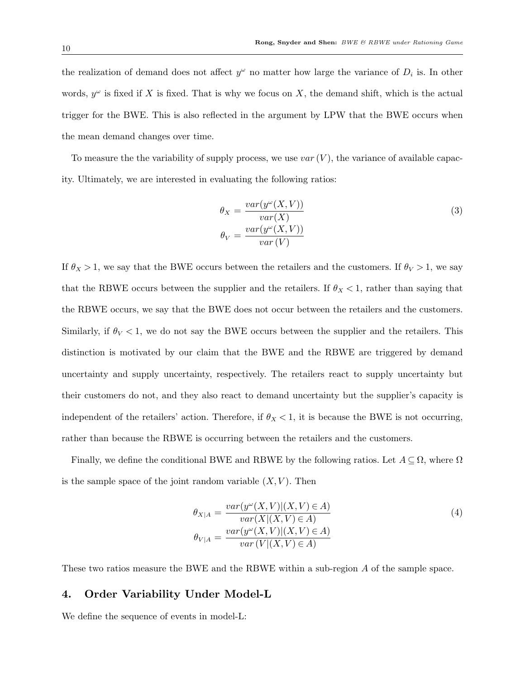the realization of demand does not affect  $y^{\omega}$  no matter how large the variance of  $D_i$  is. In other words,  $y^{\omega}$  is fixed if *X* is fixed. That is why we focus on *X*, the demand shift, which is the actual trigger for the BWE. This is also reflected in the argument by LPW that the BWE occurs when the mean demand changes over time.

To measure the the variability of supply process, we use *var* (*V* ), the variance of available capacity. Ultimately, we are interested in evaluating the following ratios:

$$
\theta_X = \frac{var(y^{\omega}(X, V))}{var(X)}
$$
\n
$$
\theta_V = \frac{var(y^{\omega}(X, V))}{var(V)}
$$
\n(3)

If  $\theta_X > 1$ , we say that the BWE occurs between the retailers and the customers. If  $\theta_V > 1$ , we say that the RBWE occurs between the supplier and the retailers. If  $\theta_X < 1$ , rather than saying that the RBWE occurs, we say that the BWE does not occur between the retailers and the customers. Similarly, if  $\theta_V < 1$ , we do not say the BWE occurs between the supplier and the retailers. This distinction is motivated by our claim that the BWE and the RBWE are triggered by demand uncertainty and supply uncertainty, respectively. The retailers react to supply uncertainty but their customers do not, and they also react to demand uncertainty but the supplier's capacity is independent of the retailers' action. Therefore, if  $\theta_X < 1$ , it is because the BWE is not occurring, rather than because the RBWE is occurring between the retailers and the customers.

Finally, we define the conditional BWE and RBWE by the following ratios. Let  $A \subseteq \Omega$ , where  $\Omega$ is the sample space of the joint random variable  $(X, V)$ . Then

$$
\theta_{X|A} = \frac{var(y^{\omega}(X,V)|(X,V) \in A)}{var(X|(X,V) \in A)}
$$
\n
$$
\theta_{V|A} = \frac{var(y^{\omega}(X,V)|(X,V) \in A)}{var(V|(X,V) \in A)}
$$
\n(4)

These two ratios measure the BWE and the RBWE within a sub-region *A* of the sample space.

# **4. Order Variability Under Model-L**

We define the sequence of events in model-L: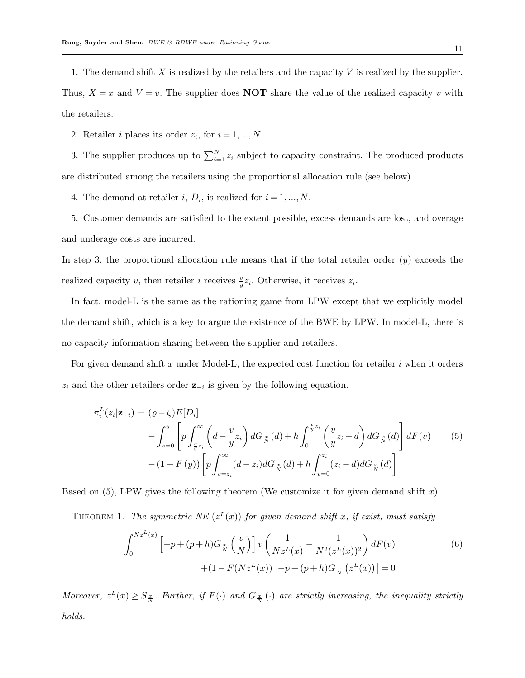1. The demand shift *X* is realized by the retailers and the capacity *V* is realized by the supplier. Thus,  $X = x$  and  $V = v$ . The supplier does **NOT** share the value of the realized capacity *v* with the retailers.

2. Retailer *i* places its order  $z_i$ , for  $i = 1, ..., N$ .

3. The supplier produces up to  $\sum_{i=1}^{N} z_i$  subject to capacity constraint. The produced products are distributed among the retailers using the proportional allocation rule (see below).

4. The demand at retailer  $i, D_i$ , is realized for  $i = 1, ..., N$ .

5. Customer demands are satisfied to the extent possible, excess demands are lost, and overage and underage costs are incurred.

In step 3, the proportional allocation rule means that if the total retailer order (*y*) exceeds the realized capacity *v*, then retailer *i* receives  $\frac{v}{y}z_i$ . Otherwise, it receives  $z_i$ .

In fact, model-L is the same as the rationing game from LPW except that we explicitly model the demand shift, which is a key to argue the existence of the BWE by LPW. In model-L, there is no capacity information sharing between the supplier and retailers.

For given demand shift *x* under Model-L, the expected cost function for retailer *i* when it orders *z<sup>i</sup>* and the other retailers order **z***−<sup>i</sup>* is given by the following equation.

$$
\pi_i^L(z_i|\mathbf{z}_{-i}) = (\varrho - \zeta)E[D_i] \n- \int_{v=0}^y \left[ p \int_{\frac{v}{y}z_i}^{\infty} \left( d - \frac{v}{y} z_i \right) dG_{\frac{x}{N}}(d) + h \int_0^{\frac{v}{y}z_i} \left( \frac{v}{y} z_i - d \right) dG_{\frac{x}{N}}(d) \right] dF(v) \tag{5}\n- (1 - F(y)) \left[ p \int_{v=z_i}^{\infty} (d - z_i) dG_{\frac{x}{N}}(d) + h \int_{v=0}^{z_i} (z_i - d) dG_{\frac{x}{N}}(d) \right]
$$

Based on (5), LPW gives the following theorem (We customize it for given demand shift *x*)

THEOREM 1. *The symmetric NE*  $(z^L(x))$  *for given demand shift x, if exist, must satisfy* 

$$
\int_0^{Nz^L(x)} \left[ -p + (p+h)G_{\frac{x}{N}}\left(\frac{v}{N}\right) \right] v \left( \frac{1}{Nz^L(x)} - \frac{1}{N^2(z^L(x))^2} \right) dF(v) + (1 - F(Nz^L(x)) \left[ -p + (p+h)G_{\frac{x}{N}}\left(z^L(x)\right) \right] = 0
$$
\n(6)

Moreover,  $z^L(x) \geq S_{\frac{x}{N}}$ . Further, if  $F(\cdot)$  and  $G_{\frac{x}{N}}(\cdot)$  are strictly increasing, the inequality strictly *holds.*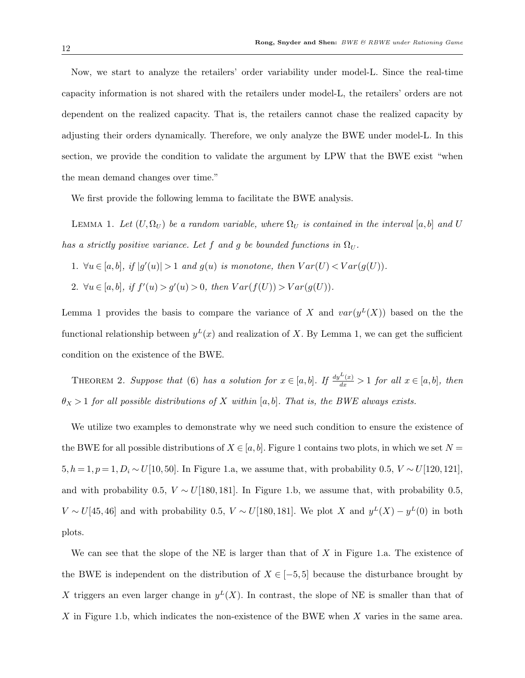Now, we start to analyze the retailers' order variability under model-L. Since the real-time capacity information is not shared with the retailers under model-L, the retailers' orders are not dependent on the realized capacity. That is, the retailers cannot chase the realized capacity by adjusting their orders dynamically. Therefore, we only analyze the BWE under model-L. In this section, we provide the condition to validate the argument by LPW that the BWE exist "when the mean demand changes over time."

We first provide the following lemma to facilitate the BWE analysis.

LEMMA 1. Let  $(U, \Omega_U)$  be a random variable, where  $\Omega_U$  is contained in the interval [a, b] and U *has a strictly positive variance. Let*  $f$  *and*  $g$  *be bounded functions in*  $\Omega_U$ .

- 1.  $\forall u \in [a,b], \text{ if } |g'(u)| > 1 \text{ and } g(u) \text{ is monotone, then } Var(U) < Var(g(U)).$
- 2.  $\forall u \in [a, b], \text{ if } f'(u) > g'(u) > 0, \text{ then } Var(f(U)) > Var(g(U)).$

Lemma 1 provides the basis to compare the variance of *X* and  $var(y<sup>L</sup>(X))$  based on the the functional relationship between  $y<sup>L</sup>(x)$  and realization of X. By Lemma 1, we can get the sufficient condition on the existence of the BWE.

THEOREM 2. Suppose that (6) has a solution for  $x \in [a, b]$ . If  $\frac{dy^L(x)}{dx} > 1$  for all  $x \in [a, b]$ , then  $\theta_X > 1$  *for all possible distributions of X within* [*a, b*]*. That is, the BWE always exists.* 

We utilize two examples to demonstrate why we need such condition to ensure the existence of the BWE for all possible distributions of  $X \in [a, b]$ . Figure 1 contains two plots, in which we set  $N =$ 5*, h* = 1*, p* = 1*, D<sub>i</sub>*  $\sim U$ [10*,* 50]. In Figure 1.a, we assume that, with probability 0.5, *V*  $\sim U$ [120*,* 121], and with probability 0.5,  $V \sim U[180, 181]$ . In Figure 1.b, we assume that, with probability 0.5, *V* ∼ *U*[45*,* 46] and with probability 0.5, *V* ∼ *U*[180*,* 181]. We plot *X* and  $y<sup>L</sup>(X) - y<sup>L</sup>(0)$  in both plots.

We can see that the slope of the NE is larger than that of *X* in Figure 1.a. The existence of the BWE is independent on the distribution of  $X \in [-5, 5]$  because the disturbance brought by X triggers an even larger change in  $y<sup>L</sup>(X)$ . In contrast, the slope of NE is smaller than that of *X* in Figure 1.b, which indicates the non-existence of the BWE when *X* varies in the same area.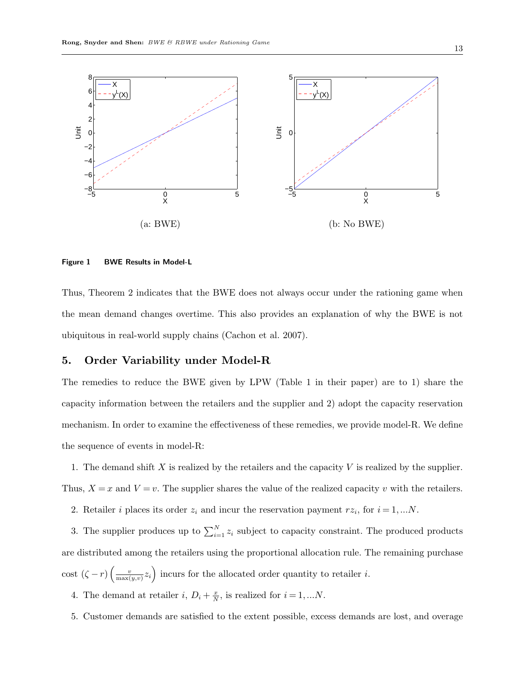

#### **Figure 1 BWE Results in Model-L**

Thus, Theorem 2 indicates that the BWE does not always occur under the rationing game when the mean demand changes overtime. This also provides an explanation of why the BWE is not ubiquitous in real-world supply chains (Cachon et al. 2007).

# **5. Order Variability under Model-R**

The remedies to reduce the BWE given by LPW (Table 1 in their paper) are to 1) share the capacity information between the retailers and the supplier and 2) adopt the capacity reservation mechanism. In order to examine the effectiveness of these remedies, we provide model-R. We define the sequence of events in model-R:

1. The demand shift *X* is realized by the retailers and the capacity *V* is realized by the supplier. Thus,  $X = x$  and  $V = v$ . The supplier shares the value of the realized capacity *v* with the retailers.

2. Retailer *i* places its order  $z_i$  and incur the reservation payment  $rz_i$ , for  $i = 1,...N$ .

3. The supplier produces up to  $\sum_{i=1}^{N} z_i$  subject to capacity constraint. The produced products are distributed among the retailers using the proportional allocation rule. The remaining purchase cost  $(\zeta - r) \left( \frac{v}{\max(\zeta - r)} \right)$  $\frac{v}{\max(y,v)}z_i$  incurs for the allocated order quantity to retailer *i*.

- 4. The demand at retailer *i*,  $D_i + \frac{x}{N}$  $\frac{x}{N}$ , is realized for  $i = 1, ...N$ .
- 5. Customer demands are satisfied to the extent possible, excess demands are lost, and overage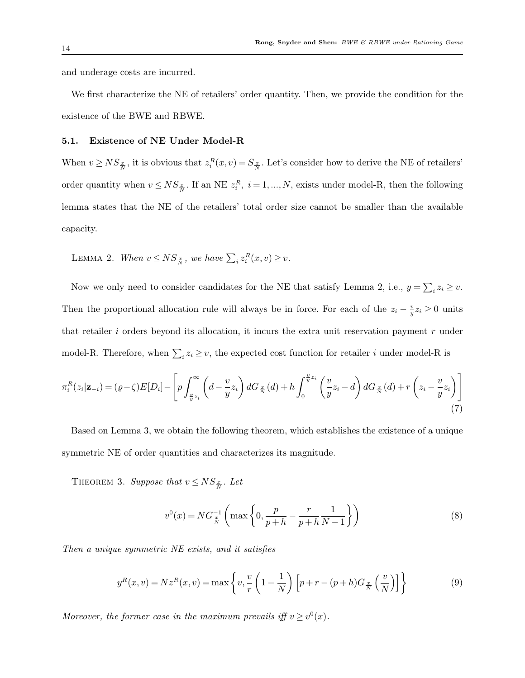and underage costs are incurred.

We first characterize the NE of retailers' order quantity. Then, we provide the condition for the existence of the BWE and RBWE.

# **5.1. Existence of NE Under Model-R**

When  $v \geq NS_{\frac{x}{N}}$ , it is obvious that  $z_i^R(x, v) = S_{\frac{x}{N}}$ . Let's consider how to derive the NE of retailers' order quantity when  $v \leq NS_{\frac{x}{N}}$ . If an NE  $z_i^R$ ,  $i = 1, ..., N$ , exists under model-R, then the following lemma states that the NE of the retailers' total order size cannot be smaller than the available capacity.

LEMMA 2. *When*  $v \leq NS_{\frac{x}{N}}$ , we have  $\sum_i z_i^R(x, v) \geq v$ .

Now we only need to consider candidates for the NE that satisfy Lemma 2, i.e.,  $y = \sum_i z_i \geq v$ . Then the proportional allocation rule will always be in force. For each of the  $z_i - \frac{v_i}{n}$  $\frac{v}{y}z_i \ge 0$  units that retailer *i* orders beyond its allocation, it incurs the extra unit reservation payment *r* under model-R. Therefore, when  $\sum_i z_i \geq v$ , the expected cost function for retailer *i* under model-R is

$$
\pi_i^R(z_i|\mathbf{z}_{-i}) = (\varrho - \zeta)E[D_i] - \left[ p \int_{\frac{v}{y}z_i}^{\infty} \left( d - \frac{v}{y} z_i \right) dG_{\frac{x}{N}}(d) + h \int_0^{\frac{v}{y}z_i} \left( \frac{v}{y} z_i - d \right) dG_{\frac{x}{N}}(d) + r \left( z_i - \frac{v}{y} z_i \right) \right]
$$
\n(7)

Based on Lemma 3, we obtain the following theorem, which establishes the existence of a unique symmetric NE of order quantities and characterizes its magnitude.

THEOREM 3. *Suppose that*  $v \leq NS_{\frac{x}{N}}$ . Let

$$
v^{0}(x) = NG_{\frac{x}{N}}^{-1} \left( \max \left\{ 0, \frac{p}{p+h} - \frac{r}{p+h} \frac{1}{N-1} \right\} \right)
$$
 (8)

*Then a unique symmetric NE exists, and it satisfies*

$$
y^{R}(x,v) = Nz^{R}(x,v) = \max\left\{v, \frac{v}{r}\left(1 - \frac{1}{N}\right)\left[p+r-(p+h)G_{\frac{x}{N}}\left(\frac{v}{N}\right)\right]\right\}
$$
(9)

*Moreover, the former case in the maximum prevails iff*  $v \geq v^0(x)$ *.*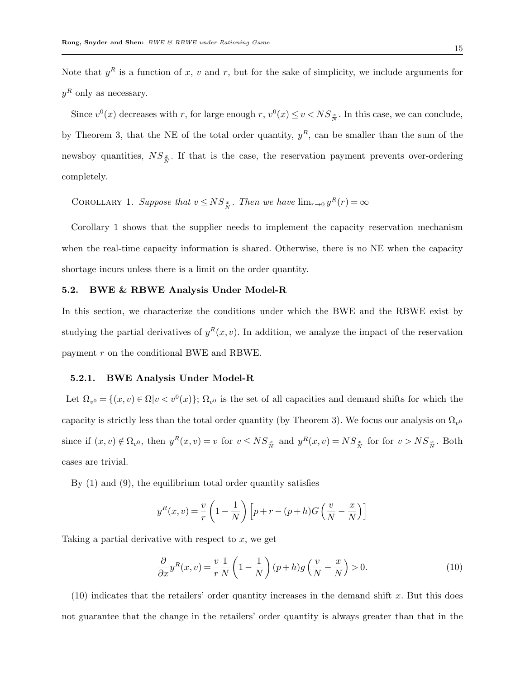Note that  $y^R$  is a function of x, v and r, but for the sake of simplicity, we include arguments for  $y<sup>R</sup>$  only as necessary.

Since  $v^0(x)$  decreases with *r*, for large enough *r*,  $v^0(x) \le v < NS_{\frac{x}{N}}$ . In this case, we can conclude, by Theorem 3, that the NE of the total order quantity,  $y<sup>R</sup>$ , can be smaller than the sum of the newsboy quantities,  $NS_{\frac{x}{N}}$ . If that is the case, the reservation payment prevents over-ordering completely.

COROLLARY 1. Suppose that  $v \leq NS_{\frac{x}{N}}$ . Then we have  $\lim_{r\to 0} y^R(r) = \infty$ 

Corollary 1 shows that the supplier needs to implement the capacity reservation mechanism when the real-time capacity information is shared. Otherwise, there is no NE when the capacity shortage incurs unless there is a limit on the order quantity.

## **5.2. BWE & RBWE Analysis Under Model-R**

In this section, we characterize the conditions under which the BWE and the RBWE exist by studying the partial derivatives of  $y^R(x, v)$ . In addition, we analyze the impact of the reservation payment *r* on the conditional BWE and RBWE.

## **5.2.1. BWE Analysis Under Model-R**

Let  $\Omega_{v^0} = \{(x, v) \in \Omega | v < v^0(x)\};\ \Omega_{v^0}$  is the set of all capacities and demand shifts for which the capacity is strictly less than the total order quantity (by Theorem 3). We focus our analysis on  $\Omega_{v0}$ since if  $(x, v) \notin \Omega_{v^0}$ , then  $y^R(x, v) = v$  for  $v \leq NS_{\frac{x}{N}}$  and  $y^R(x, v) = NS_{\frac{x}{N}}$  for for  $v > NS_{\frac{x}{N}}$ . Both cases are trivial.

By (1) and (9), the equilibrium total order quantity satisfies

$$
y^{R}(x,v) = \frac{v}{r} \left(1 - \frac{1}{N}\right) \left[p + r - (p+h)G\left(\frac{v}{N} - \frac{x}{N}\right)\right]
$$

Taking a partial derivative with respect to *x*, we get

$$
\frac{\partial}{\partial x} y^R(x, v) = \frac{v}{r} \frac{1}{N} \left( 1 - \frac{1}{N} \right) (p + h) g \left( \frac{v}{N} - \frac{x}{N} \right) > 0. \tag{10}
$$

(10) indicates that the retailers' order quantity increases in the demand shift *x*. But this does not guarantee that the change in the retailers' order quantity is always greater than that in the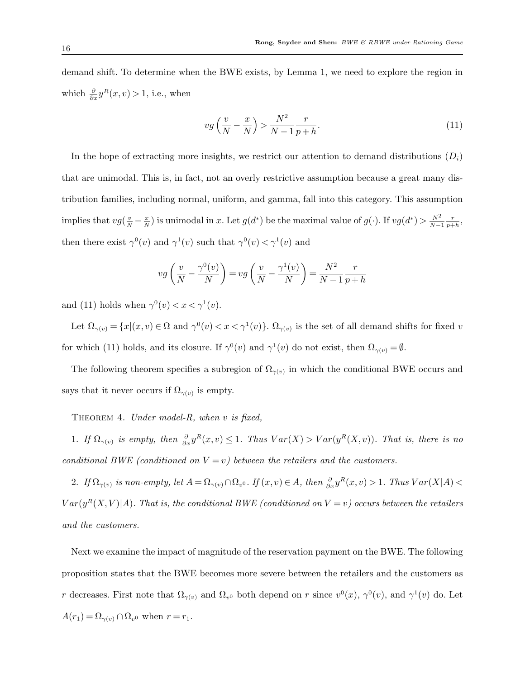demand shift. To determine when the BWE exists, by Lemma 1, we need to explore the region in which  $\frac{\partial}{\partial x} y^R(x, v) > 1$ , i.e., when

$$
vg\left(\frac{v}{N} - \frac{x}{N}\right) > \frac{N^2}{N-1} \frac{r}{p+h}.\tag{11}
$$

In the hope of extracting more insights, we restrict our attention to demand distributions  $(D_i)$ that are unimodal. This is, in fact, not an overly restrictive assumption because a great many distribution families, including normal, uniform, and gamma, fall into this category. This assumption implies that  $vg(\frac{v}{N} - \frac{x}{N})$ *x*<sub></sub> is unimodal in *x*. Let  $g(d^*)$  be the maximal value of  $g(\cdot)$ . If  $vg(d^*) > \frac{N^2}{N-1}$ *N−*1 *r*  $\frac{r}{p+h}$ then there exist  $\gamma^{0}(v)$  and  $\gamma^{1}(v)$  such that  $\gamma^{0}(v) < \gamma^{1}(v)$  and

$$
vg\left(\frac{v}{N} - \frac{\gamma^0(v)}{N}\right) = vg\left(\frac{v}{N} - \frac{\gamma^1(v)}{N}\right) = \frac{N^2}{N-1} \frac{r}{p+h}
$$

and (11) holds when  $\gamma^{0}(v) < x < \gamma^{1}(v)$ .

Let  $\Omega_{\gamma(v)} = \{x | (x, v) \in \Omega \text{ and } \gamma^{0}(v) < x < \gamma^{1}(v)\}\$ .  $\Omega_{\gamma(v)}$  is the set of all demand shifts for fixed *v* for which (11) holds, and its closure. If  $\gamma^0(v)$  and  $\gamma^1(v)$  do not exist, then  $\Omega_{\gamma(v)} = \emptyset$ .

The following theorem specifies a subregion of  $\Omega_{\gamma(v)}$  in which the conditional BWE occurs and says that it never occurs if  $\Omega_{\gamma(v)}$  is empty.

Theorem 4. *Under model-R, when v is fixed,*

1. If  $\Omega_{\gamma(v)}$  is empty, then  $\frac{\partial}{\partial x}y^R(x,v) \leq 1$ . Thus  $Var(X) > Var(y^R(X,v))$ . That is, there is no *conditional BWE (conditioned on*  $V = v$ ) *between the retailers and the customers.* 

2. If  $\Omega_{\gamma(v)}$  is non-empty, let  $A = \Omega_{\gamma(v)} \cap \Omega_{v^0}$ . If  $(x, v) \in A$ , then  $\frac{\partial}{\partial x} y^R(x, v) > 1$ . Thus  $Var(X|A) <$  $Var(y^R(X, V)|A)$ . That is, the conditional BWE (conditioned on  $V = v$ ) occurs between the retailers *and the customers.*

Next we examine the impact of magnitude of the reservation payment on the BWE. The following proposition states that the BWE becomes more severe between the retailers and the customers as *r* decreases. First note that  $\Omega_{\gamma(v)}$  and  $\Omega_{v^0}$  both depend on *r* since  $v^0(x)$ ,  $\gamma^0(v)$ , and  $\gamma^1(v)$  do. Let  $A(r_1) = \Omega_{\gamma(v)} \cap \Omega_{v^0}$  when  $r = r_1$ .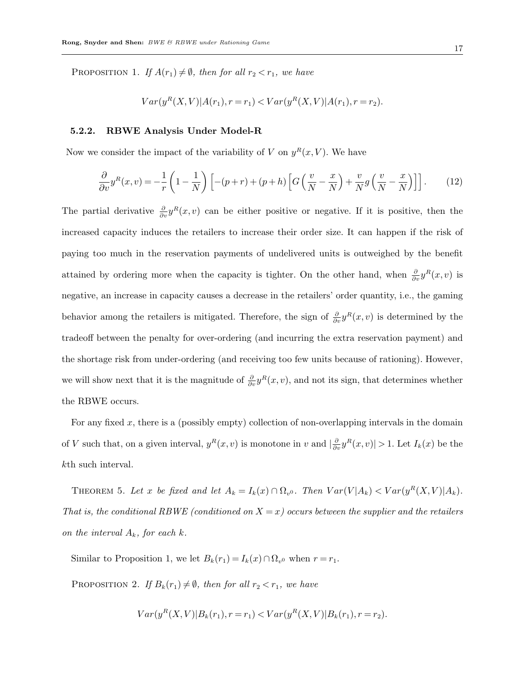PROPOSITION 1. *If*  $A(r_1) \neq \emptyset$ *, then for all*  $r_2 < r_1$ *, we have* 

$$
Var(y^{R}(X,V)|A(r_{1}), r=r_{1}) < Var(y^{R}(X,V)|A(r_{1}), r=r_{2}).
$$

#### **5.2.2. RBWE Analysis Under Model-R**

Now we consider the impact of the variability of *V* on  $y^R(x, V)$ . We have

$$
\frac{\partial}{\partial v} y^R(x,v) = -\frac{1}{r} \left( 1 - \frac{1}{N} \right) \left[ -(p+r) + (p+h) \left[ G \left( \frac{v}{N} - \frac{x}{N} \right) + \frac{v}{N} g \left( \frac{v}{N} - \frac{x}{N} \right) \right] \right].
$$
 (12)

The partial derivative  $\frac{\partial}{\partial v} y^R(x, v)$  can be either positive or negative. If it is positive, then the increased capacity induces the retailers to increase their order size. It can happen if the risk of paying too much in the reservation payments of undelivered units is outweighed by the benefit attained by ordering more when the capacity is tighter. On the other hand, when  $\frac{\partial}{\partial v} y^R(x, v)$  is negative, an increase in capacity causes a decrease in the retailers' order quantity, i.e., the gaming behavior among the retailers is mitigated. Therefore, the sign of  $\frac{\partial}{\partial v} y^R(x, v)$  is determined by the tradeoff between the penalty for over-ordering (and incurring the extra reservation payment) and the shortage risk from under-ordering (and receiving too few units because of rationing). However, we will show next that it is the magnitude of  $\frac{\partial}{\partial v} y^R(x, v)$ , and not its sign, that determines whether the RBWE occurs.

For any fixed *x*, there is a (possibly empty) collection of non-overlapping intervals in the domain of *V* such that, on a given interval,  $y^R(x, v)$  is monotone in *v* and  $\left|\frac{\partial}{\partial v} y^R(x, v)\right| > 1$ . Let  $I_k(x)$  be the *k*th such interval.

THEOREM 5. Let x be fixed and let  $A_k = I_k(x) \cap \Omega_{v^0}$ . Then  $Var(V|A_k) < Var(y^R(X,V)|A_k)$ . *That is, the conditional RBWE (conditioned on X* = *x) occurs between the supplier and the retailers on the interval*  $A_k$ *, for each*  $k$ *.* 

Similar to Proposition 1, we let  $B_k(r_1) = I_k(x) \cap \Omega_{v^0}$  when  $r = r_1$ .

PROPOSITION 2. *If*  $B_k(r_1) \neq \emptyset$ *, then for all*  $r_2 < r_1$ *, we have* 

$$
Var(y^{R}(X,V)|B_{k}(r_{1}), r=r_{1}) < Var(y^{R}(X,V)|B_{k}(r_{1}), r=r_{2}).
$$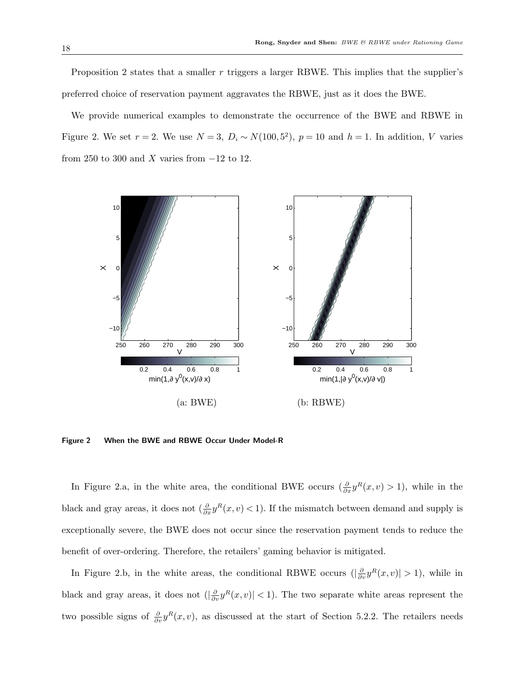Proposition 2 states that a smaller *r* triggers a larger RBWE. This implies that the supplier's preferred choice of reservation payment aggravates the RBWE, just as it does the BWE.

We provide numerical examples to demonstrate the occurrence of the BWE and RBWE in Figure 2. We set  $r = 2$ . We use  $N = 3$ ,  $D_i \sim N(100, 5^2)$ ,  $p = 10$  and  $h = 1$ . In addition, *V* varies from 250 to 300 and *X* varies from *−*12 to 12.



**Figure 2 When the BWE and RBWE Occur Under Model-R**

In Figure 2.a, in the white area, the conditional BWE occurs  $(\frac{\partial}{\partial x}y^R(x,v) > 1)$ , while in the black and gray areas, it does not  $\left(\frac{\partial}{\partial x} y^R(x, v) \leq 1\right)$ . If the mismatch between demand and supply is exceptionally severe, the BWE does not occur since the reservation payment tends to reduce the benefit of over-ordering. Therefore, the retailers' gaming behavior is mitigated.

In Figure 2.b, in the white areas, the conditional RBWE occurs  $(|\frac{\partial}{\partial v}y^R(x,v)| > 1)$ , while in black and gray areas, it does not  $(|\frac{\partial}{\partial v} y^R(x,v)| < 1$ . The two separate white areas represent the two possible signs of  $\frac{\partial}{\partial v} y^R(x, v)$ , as discussed at the start of Section 5.2.2. The retailers needs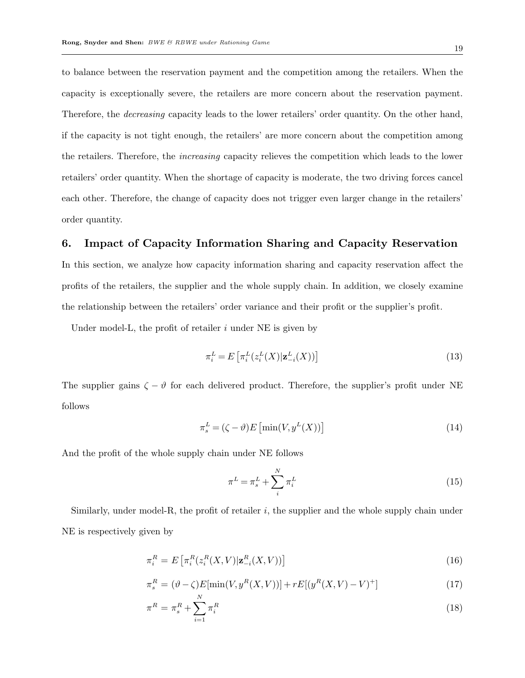to balance between the reservation payment and the competition among the retailers. When the capacity is exceptionally severe, the retailers are more concern about the reservation payment. Therefore, the *decreasing* capacity leads to the lower retailers' order quantity. On the other hand, if the capacity is not tight enough, the retailers' are more concern about the competition among the retailers. Therefore, the *increasing* capacity relieves the competition which leads to the lower retailers' order quantity. When the shortage of capacity is moderate, the two driving forces cancel each other. Therefore, the change of capacity does not trigger even larger change in the retailers' order quantity.

# **6. Impact of Capacity Information Sharing and Capacity Reservation**

In this section, we analyze how capacity information sharing and capacity reservation affect the profits of the retailers, the supplier and the whole supply chain. In addition, we closely examine the relationship between the retailers' order variance and their profit or the supplier's profit.

Under model-L, the profit of retailer *i* under NE is given by

$$
\pi_i^L = E\left[\pi_i^L(z_i^L(X)|\mathbf{z}_{-i}^L(X))\right]
$$
\n(13)

The supplier gains  $\zeta - \vartheta$  for each delivered product. Therefore, the supplier's profit under NE follows

$$
\pi_s^L = (\zeta - \vartheta) E \left[ \min(V, y^L(X)) \right] \tag{14}
$$

And the profit of the whole supply chain under NE follows

$$
\pi^L = \pi_s^L + \sum_i^N \pi_i^L \tag{15}
$$

Similarly, under model-R, the profit of retailer *i*, the supplier and the whole supply chain under NE is respectively given by

$$
\pi_i^R = E\left[\pi_i^R(z_i^R(X, V)|\mathbf{z}_{-i}^R(X, V))\right]
$$
\n(16)

$$
\pi_s^R = (\vartheta - \zeta) E[\min(V, y^R(X, V))] + r E[(y^R(X, V) - V)^+] \tag{17}
$$

$$
\pi^R = \pi_s^R + \sum_{i=1}^N \pi_i^R \tag{18}
$$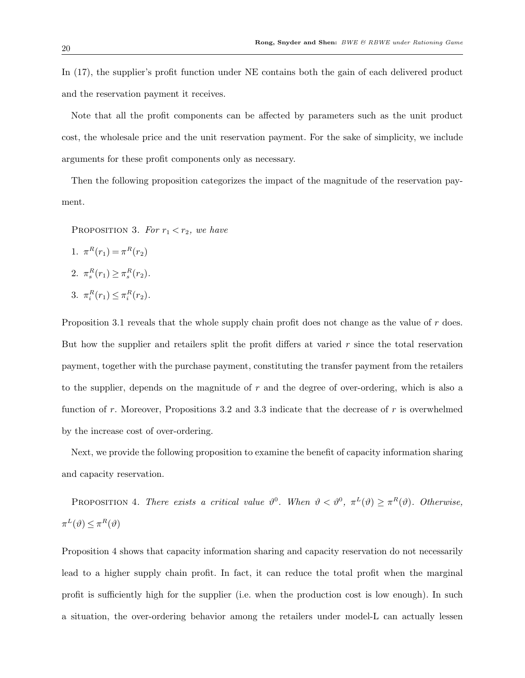In (17), the supplier's profit function under NE contains both the gain of each delivered product and the reservation payment it receives.

Note that all the profit components can be affected by parameters such as the unit product cost, the wholesale price and the unit reservation payment. For the sake of simplicity, we include arguments for these profit components only as necessary.

Then the following proposition categorizes the impact of the magnitude of the reservation payment.

- PROPOSITION 3. For  $r_1 < r_2$ , we have
- 1.  $\pi^R(r_1) = \pi^R(r_2)$ 2.  $\pi_s^R(r_1) \geq \pi_s^R(r_2)$ . 3.  $\pi_i^R(r_1) \leq \pi_i^R(r_2)$ .

Proposition 3.1 reveals that the whole supply chain profit does not change as the value of *r* does. But how the supplier and retailers split the profit differs at varied *r* since the total reservation payment, together with the purchase payment, constituting the transfer payment from the retailers to the supplier, depends on the magnitude of *r* and the degree of over-ordering, which is also a function of *r*. Moreover, Propositions 3.2 and 3.3 indicate that the decrease of *r* is overwhelmed by the increase cost of over-ordering.

Next, we provide the following proposition to examine the benefit of capacity information sharing and capacity reservation.

PROPOSITION 4. *There exists a critical value*  $\vartheta^0$ . *When*  $\vartheta < \vartheta^0$ ,  $\pi^L(\vartheta) \geq \pi^R(\vartheta)$ . *Otherwise*,  $\pi^L(\vartheta) \leq \pi^R(\vartheta)$ 

Proposition 4 shows that capacity information sharing and capacity reservation do not necessarily lead to a higher supply chain profit. In fact, it can reduce the total profit when the marginal profit is sufficiently high for the supplier (i.e. when the production cost is low enough). In such a situation, the over-ordering behavior among the retailers under model-L can actually lessen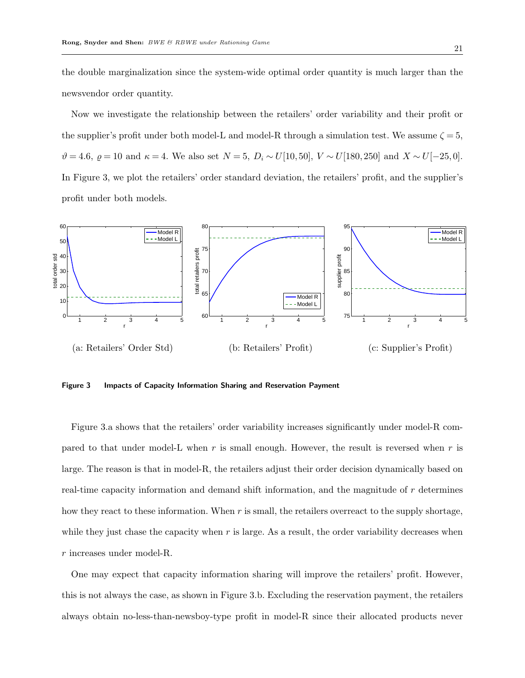the double marginalization since the system-wide optimal order quantity is much larger than the newsvendor order quantity.

Now we investigate the relationship between the retailers' order variability and their profit or the supplier's profit under both model-L and model-R through a simulation test. We assume  $\zeta = 5$ ,  $\vartheta = 4.6, \ \varrho = 10 \text{ and } \kappa = 4.$  We also set  $N = 5, D_i \sim U[10, 50], V \sim U[180, 250]$  and  $X \sim U[-25, 0].$ In Figure 3, we plot the retailers' order standard deviation, the retailers' profit, and the supplier's profit under both models.



**Figure 3 Impacts of Capacity Information Sharing and Reservation Payment**

Figure 3.a shows that the retailers' order variability increases significantly under model-R compared to that under model-L when *r* is small enough. However, the result is reversed when *r* is large. The reason is that in model-R, the retailers adjust their order decision dynamically based on real-time capacity information and demand shift information, and the magnitude of *r* determines how they react to these information. When *r* is small, the retailers overreact to the supply shortage, while they just chase the capacity when r is large. As a result, the order variability decreases when *r* increases under model-R.

One may expect that capacity information sharing will improve the retailers' profit. However, this is not always the case, as shown in Figure 3.b. Excluding the reservation payment, the retailers always obtain no-less-than-newsboy-type profit in model-R since their allocated products never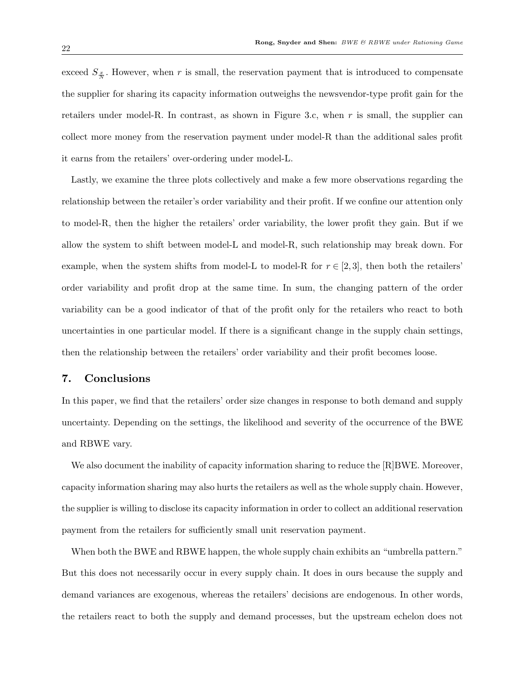exceed  $S_{\frac{x}{N}}$ . However, when *r* is small, the reservation payment that is introduced to compensate the supplier for sharing its capacity information outweighs the newsvendor-type profit gain for the retailers under model-R. In contrast, as shown in Figure 3.c, when *r* is small, the supplier can collect more money from the reservation payment under model-R than the additional sales profit it earns from the retailers' over-ordering under model-L.

Lastly, we examine the three plots collectively and make a few more observations regarding the relationship between the retailer's order variability and their profit. If we confine our attention only to model-R, then the higher the retailers' order variability, the lower profit they gain. But if we allow the system to shift between model-L and model-R, such relationship may break down. For example, when the system shifts from model-L to model-R for  $r \in [2,3]$ , then both the retailers' order variability and profit drop at the same time. In sum, the changing pattern of the order variability can be a good indicator of that of the profit only for the retailers who react to both uncertainties in one particular model. If there is a significant change in the supply chain settings, then the relationship between the retailers' order variability and their profit becomes loose.

# **7. Conclusions**

In this paper, we find that the retailers' order size changes in response to both demand and supply uncertainty. Depending on the settings, the likelihood and severity of the occurrence of the BWE and RBWE vary.

We also document the inability of capacity information sharing to reduce the [R]BWE. Moreover, capacity information sharing may also hurts the retailers as well as the whole supply chain. However, the supplier is willing to disclose its capacity information in order to collect an additional reservation payment from the retailers for sufficiently small unit reservation payment.

When both the BWE and RBWE happen, the whole supply chain exhibits an "umbrella pattern." But this does not necessarily occur in every supply chain. It does in ours because the supply and demand variances are exogenous, whereas the retailers' decisions are endogenous. In other words, the retailers react to both the supply and demand processes, but the upstream echelon does not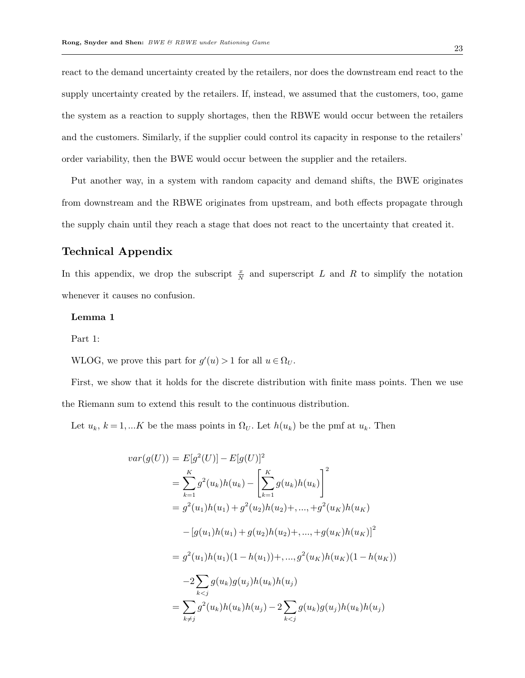react to the demand uncertainty created by the retailers, nor does the downstream end react to the supply uncertainty created by the retailers. If, instead, we assumed that the customers, too, game the system as a reaction to supply shortages, then the RBWE would occur between the retailers and the customers. Similarly, if the supplier could control its capacity in response to the retailers' order variability, then the BWE would occur between the supplier and the retailers.

Put another way, in a system with random capacity and demand shifts, the BWE originates from downstream and the RBWE originates from upstream, and both effects propagate through the supply chain until they reach a stage that does not react to the uncertainty that created it.

# **Technical Appendix**

In this appendix, we drop the subscript  $\frac{x}{N}$  and superscript *L* and *R* to simplify the notation whenever it causes no confusion.

## **Lemma 1**

Part 1:

WLOG, we prove this part for  $g'(u) > 1$  for all  $u \in \Omega_U$ .

First, we show that it holds for the discrete distribution with finite mass points. Then we use the Riemann sum to extend this result to the continuous distribution.

Let  $u_k$ ,  $k = 1,...K$  be the mass points in  $\Omega_U$ . Let  $h(u_k)$  be the pmf at  $u_k$ . Then

$$
var(g(U)) = E[g^{2}(U)] - E[g(U)]^{2}
$$
  
= 
$$
\sum_{k=1}^{K} g^{2}(u_{k})h(u_{k}) - \left[\sum_{k=1}^{K} g(u_{k})h(u_{k})\right]^{2}
$$
  
= 
$$
g^{2}(u_{1})h(u_{1}) + g^{2}(u_{2})h(u_{2}) + \dots + g^{2}(u_{K})h(u_{K})
$$
  

$$
- [g(u_{1})h(u_{1}) + g(u_{2})h(u_{2}) + \dots + g(u_{K})h(u_{K})]^{2}
$$
  
= 
$$
g^{2}(u_{1})h(u_{1})(1 - h(u_{1})) + \dots + g^{2}(u_{K})h(u_{K})(1 - h(u_{K}))
$$
  

$$
-2 \sum_{k < j} g(u_{k})g(u_{j})h(u_{k})h(u_{j})
$$
  
= 
$$
\sum_{k \neq j} g^{2}(u_{k})h(u_{k})h(u_{j}) - 2 \sum_{k < j} g(u_{k})g(u_{j})h(u_{k})h(u_{j})
$$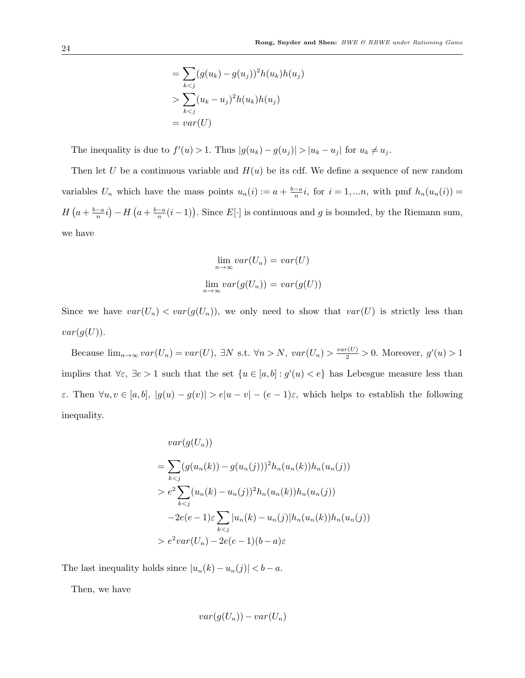$$
= \sum_{k < j} (g(u_k) - g(u_j))^2 h(u_k) h(u_j)
$$
\n
$$
> \sum_{k < j} (u_k - u_j)^2 h(u_k) h(u_j)
$$
\n
$$
= var(U)
$$

The inequality is due to  $f'(u) > 1$ . Thus  $|g(u_k) - g(u_j)| > |u_k - u_j|$  for  $u_k \neq u_j$ .

Then let *U* be a continuous variable and  $H(u)$  be its cdf. We define a sequence of new random variables  $U_n$  which have the mass points  $u_n(i) := a + \frac{b-a}{n}i$ , for  $i = 1,...n$ , with pmf  $h_n(u_n(i)) =$  $H\left(a+\frac{b-a}{n}i\right)-H\left(a+\frac{b-a}{n}(i-1)\right)$ . Since  $E[\cdot]$  is continuous and g is bounded, by the Riemann sum, we have

$$
\lim_{n \to \infty} var(U_n) = var(U)
$$
  

$$
\lim_{n \to \infty} var(g(U_n)) = var(g(U))
$$

Since we have  $var(U_n) < var(g(U_n))$ , we only need to show that  $var(U)$  is strictly less than  $var(g(U)).$ 

Because  $\lim_{n\to\infty} var(U_n) = var(U)$ ,  $\exists N$  s.t.  $\forall n > N$ ,  $var(U_n) > \frac{var(U)}{2} > 0$ . Moreover,  $g'(u) > 1$ implies that  $\forall \varepsilon, \exists e > 1$  such that the set  $\{u \in [a, b] : g'(u) < e\}$  has Lebesgue measure less than  $\varepsilon$ . Then  $\forall u, v \in [a, b], |g(u) - g(v)| > e|u - v| - (e - 1)\varepsilon$ , which helps to establish the following inequality.

$$
var(g(U_n))
$$
  
=  $\sum_{k < j} (g(u_n(k)) - g(u_n(j)))^2 h_n(u_n(k)) h_n(u_n(j))$   
>  $e^2 \sum_{k < j} (u_n(k) - u_n(j))^2 h_n(u_n(k)) h_n(u_n(j))$   
- $2e(e-1)\varepsilon \sum_{k < j} |u_n(k) - u_n(j)| h_n(u_n(k)) h_n(u_n(j))$   
>  $e^2 var(U_n) - 2e(e-1)(b-a)\varepsilon$ 

The last inequality holds since  $|u_n(k) - u_n(j)| < b - a$ .

Then, we have

$$
var(g(U_n)) - var(U_n)
$$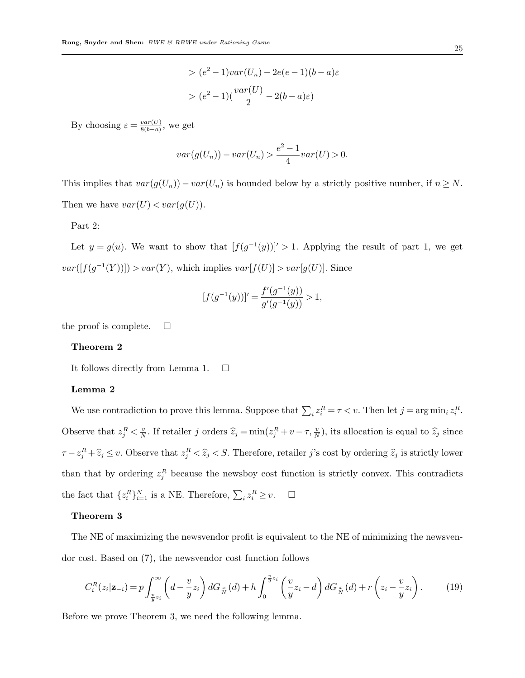$$
> (e2 - 1)var(Un) - 2e(e - 1)(b - a)\varepsilon
$$
\n
$$
> (e2 - 1)(\frac{var(U)}{2} - 2(b - a)\varepsilon)
$$

By choosing  $\varepsilon = \frac{var(U)}{8(h-a)}$  $\frac{var(U)}{8(b-a)}$ , we get

$$
var(g(U_n)) - var(U_n) > \frac{e^2 - 1}{4}var(U) > 0.
$$

This implies that  $var(g(U_n)) - var(U_n)$  is bounded below by a strictly positive number, if  $n \geq N$ . Then we have  $var(U) < var(g(U))$ .

# Part 2:

Let  $y = g(u)$ . We want to show that  $[f(g^{-1}(y))]$  > 1. Applying the result of part 1, we get  $var([f(g^{-1}(Y))]) > var(Y)$ , which implies  $var[f(U)] > var[g(U)]$ . Since

$$
[f(g^{-1}(y))]' = \frac{f'(g^{-1}(y))}{g'(g^{-1}(y))} > 1,
$$

the proof is complete.  $\Box$ 

#### **Theorem 2**

It follows directly from Lemma 1.  $\square$ 

#### **Lemma 2**

We use contradiction to prove this lemma. Suppose that  $\sum_i z_i^R = \tau \langle v$ . Then let  $j = \arg \min_i z_i^R$ . Observe that  $z_j^R < \frac{v}{N}$  $\frac{v}{N}$ . If retailer *j* orders  $\hat{z}_j = \min(z_j^R + v - \tau, \frac{v}{N})$ , its allocation is equal to  $\hat{z}_j$  since  $\tau - z_j^R + \hat{z}_j \leq v$ . Observe that  $z_j^R < \hat{z}_j < S$ . Therefore, retailer j's cost by ordering  $\hat{z}_j$  is strictly lower than that by ordering  $z_j^R$  because the newsboy cost function is strictly convex. This contradicts the fact that  $\{z_i^R\}_{i=1}^N$  is a NE. Therefore,  $\sum_i z_i^R \geq v$ .  $\Box$ 

#### **Theorem 3**

The NE of maximizing the newsvendor profit is equivalent to the NE of minimizing the newsvendor cost. Based on (7), the newsvendor cost function follows

$$
C_i^R(z_i|\mathbf{z}_{-i}) = p \int_{\frac{v}{y}z_i}^{\infty} \left(d - \frac{v}{y}z_i\right) dG_{\frac{x}{N}}(d) + h \int_0^{\frac{v}{y}z_i} \left(\frac{v}{y}z_i - d\right) dG_{\frac{x}{N}}(d) + r\left(z_i - \frac{v}{y}z_i\right). \tag{19}
$$

Before we prove Theorem 3, we need the following lemma.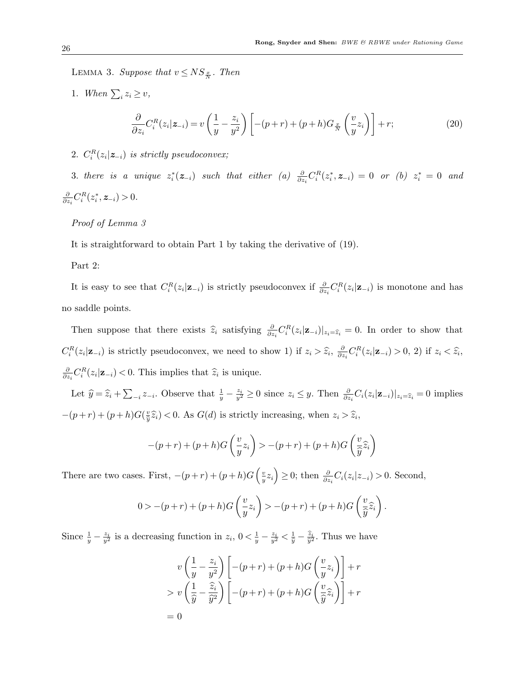LEMMA 3. *Suppose that*  $v \leq NS_{\frac{x}{N}}$ . *Then* 

- 1. *When*  $\sum_{i} z_i \geq v$ , *∂*  $\frac{\partial}{\partial z_i} C_i^R(z_i | z_{-i}) = v$  $(1)$  $\frac{1}{y} - \frac{z_i}{y^2}$  $\left(\frac{z_i}{y^2}\right)\left[ -(p+r)+(p+h)G_{\frac{x}{N}}\right]$  $\sqrt{v}$  $\left[\frac{v}{y}z_i\right)\right] + r;$  (20)
- 2.  $C_i^R(z_i|z_{-i})$  *is strictly pseudoconvex;*

3. there is a unique  $z_i^*(z_{-i})$  such that either (a)  $\frac{\partial}{\partial z_i}C_i^R(z_i^*, z_{-i}) = 0$  or (b)  $z_i^* = 0$  and *∂*  $\frac{\partial}{\partial z_i} C_i^R(z_i^*, z_{-i}) > 0.$ 

# *Proof of Lemma 3*

It is straightforward to obtain Part 1 by taking the derivative of (19).

#### Part 2:

It is easy to see that  $C_i^R(z_i|\mathbf{z}_{-i})$  is strictly pseudoconvex if  $\frac{\partial}{\partial z_i}C_i^R(z_i|\mathbf{z}_{-i})$  is monotone and has no saddle points.

Then suppose that there exists  $\hat{z}_i$  satisfying  $\frac{\partial}{\partial z_i} C_i^R(z_i | \mathbf{z}_{-i})|_{z_i = \hat{z}_i} = 0$ . In order to show that  $C_i^R(z_i|\mathbf{z}_{-i})$  is strictly pseudoconvex, we need to show 1) if  $z_i > \hat{z}_i$ ,  $\frac{\partial}{\partial z_i}$  $\frac{\partial}{\partial z_i} C_i^R(z_i | \mathbf{z}_{-i}) > 0, 2)$  if  $z_i < \hat{z}_i$ , *∂*  $\frac{\partial}{\partial z_i} C_i^R(z_i | \mathbf{z}_{-i}) < 0$ . This implies that  $\hat{z}_i$  is unique.

Let  $\hat{y} = \hat{z}_i + \sum_{i} z_{-i}$ . Observe that  $\frac{1}{y} - \frac{z_i}{y^2} \ge 0$  since  $z_i \le y$ . Then  $\frac{\partial}{\partial z_i} C_i(z_i | \mathbf{z}_{-i})|_{z_i = \hat{z}_i} = 0$  implies  $-(p+r)+(p+h)G(\frac{v}{\hat{v}})$  $y^2\hat{\overline{x}}_i$  < 0. As *G*(*d*) is strictly increasing, when  $z_i > \hat{z}_i$ ,

$$
-(p+r)+(p+h)G\left(\frac{v}{y}z_i\right) > -(p+r)+(p+h)G\left(\frac{v}{\hat{y}}\hat{z}_i\right)
$$

There are two cases. First,  $-(p+r)+(p+h)G\left(\frac{v}{n}\right)$ *y*<sub>*z*</sub><sup>*j*</sup>  $\geq$  0; then  $\frac{\partial}{\partial z_i}C_i(z_i|z_{-i}) > 0$ . Second,

$$
0 > -(p+r)+(p+h)G\left(\frac{v}{y}z_i\right) > -(p+r)+(p+h)G\left(\frac{v}{\hat{y}}\hat{z}_i\right).
$$

Since  $\frac{1}{y} - \frac{z_i}{y^2}$  is a decreasing function in  $z_i$ ,  $0 < \frac{1}{y} - \frac{z_i}{y^2} < \frac{1}{\hat{y}} - \frac{\hat{z}_i}{\hat{y}^2}$ . Thus we have

$$
v\left(\frac{1}{y} - \frac{z_i}{y^2}\right) \left[ -(p+r) + (p+h)G\left(\frac{v}{y}z_i\right) \right] + r
$$
  
> 
$$
v\left(\frac{1}{\hat{y}} - \frac{\hat{z}_i}{\hat{y}^2}\right) \left[ -(p+r) + (p+h)G\left(\frac{v}{\hat{y}}\hat{z}_i\right) \right] + r
$$
  
= 0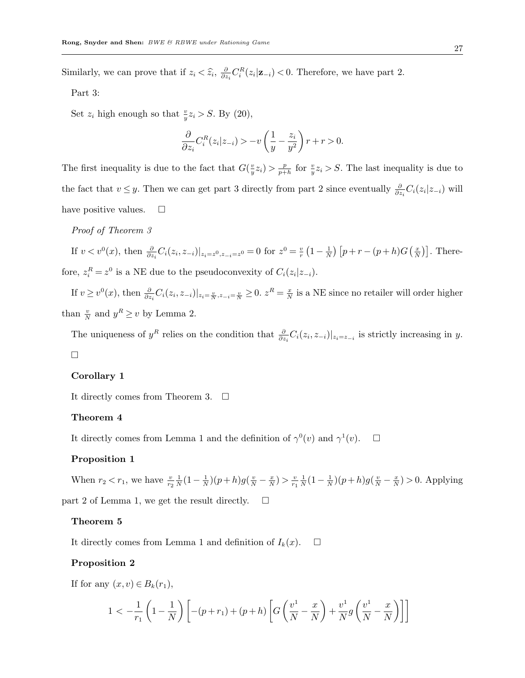Similarly, we can prove that if  $z_i < \hat{z}_i$ ,  $\frac{\partial}{\partial z}$  $\frac{\partial}{\partial z_i} C_i^R(z_i | \mathbf{z}_{-i})$  < 0. Therefore, we have part 2.

Part 3:

Set  $z_i$  high enough so that  $\frac{v}{y}z_i > S$ . By (20),

$$
\frac{\partial}{\partial z_i} C_i^R(z_i|z_{-i}) > -v\left(\frac{1}{y} - \frac{z_i}{y^2}\right)r + r > 0.
$$

The first inequality is due to the fact that  $G(\frac{v}{v})$  $\frac{v}{y}z_i$ ) >  $\frac{p}{p+1}$  $\frac{p}{p+h}$  for  $\frac{v}{y}z_i > S$ . The last inequality is due to the fact that  $v \leq y$ . Then we can get part 3 directly from part 2 since eventually  $\frac{\partial}{\partial z_i} C_i(z_i|z_{-i})$  will have positive values.  $\square$ 

# *Proof of Theorem 3*

If  $v < v^0(x)$ , then  $\frac{\partial}{\partial z_i} C_i(z_i, z_{-i})|_{z_i = z^0, z_{-i} = z^0} = 0$  for  $z^0 = \frac{v}{r}$  $\frac{v}{r}\left(1-\frac{1}{N}\right)$  $\frac{1}{N}$ )  $[p + r - (p + h)G(\frac{x}{N})]$  $\left(\frac{x}{N}\right)$ . Therefore,  $z_i^R = z^0$  is a NE due to the pseudoconvexity of  $C_i(z_i|z_{-i})$ .

If  $v \ge v^0(x)$ , then  $\frac{\partial}{\partial z_i} C_i(z_i, z_{-i})|_{z_i = \frac{v}{N}, z_{-i} = \frac{v}{N}} \ge 0$ .  $z^R = \frac{x}{N}$  $\frac{x}{N}$  is a NE since no retailer will order higher than  $\frac{v}{N}$  and  $y^R \ge v$  by Lemma 2.

The uniqueness of  $y^R$  relies on the condition that  $\frac{\partial}{\partial z_i}C_i(z_i, z_{-i})|_{z_i=z_{-i}}$  is strictly increasing in y.  $\Box$ 

## **Corollary 1**

It directly comes from Theorem 3.  $\Box$ 

#### **Theorem 4**

It directly comes from Lemma 1 and the definition of  $\gamma^0(v)$  and  $\gamma^1(v)$ .  $\Box$ 

# **Proposition 1**

When  $r_2 < r_1$ , we have  $\frac{v}{r_2}$ 1  $\frac{1}{N}(1 - \frac{1}{N})$  $\frac{1}{N}$ )(*p* + *h*)*g*( $\frac{v}{N}$  –  $\frac{x}{N}$  $\frac{x}{N}$ ) >  $\frac{v}{r_1}$ *r*1 1  $\frac{1}{N}(1-\frac{1}{N})$  $\frac{1}{N}$ )(*p* + *h*)*g*( $\frac{v}{N}$  –  $\frac{x}{N}$  $\frac{x}{N}$  > 0. Applying part 2 of Lemma 1, we get the result directly.  $\Box$ 

### **Theorem 5**

It directly comes from Lemma 1 and definition of  $I_k(x)$ .  $\Box$ 

#### **Proposition 2**

If for any  $(x, v) \in B_k(r_1)$ ,

$$
1 < -\frac{1}{r_1} \left( 1 - \frac{1}{N} \right) \left[ -(p + r_1) + (p + h) \left[ G \left( \frac{v^1}{N} - \frac{x}{N} \right) + \frac{v^1}{N} g \left( \frac{v^1}{N} - \frac{x}{N} \right) \right] \right]
$$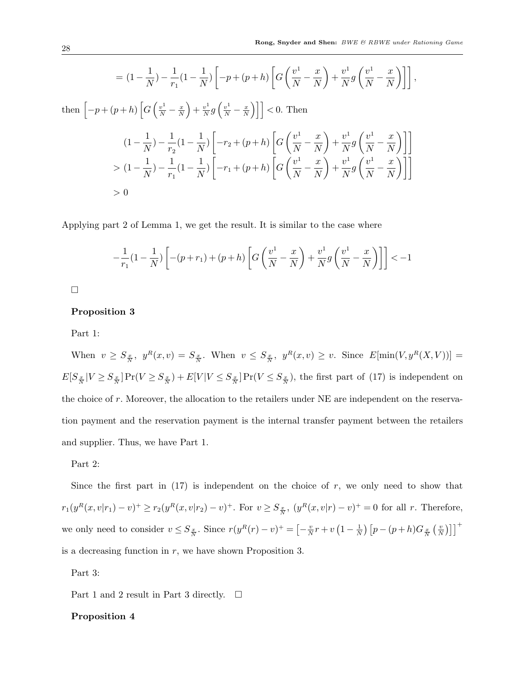$$
= (1 - \frac{1}{N}) - \frac{1}{r_1}(1 - \frac{1}{N}) \left[ -p + (p+h) \left[ G\left(\frac{v^1}{N} - \frac{x}{N}\right) + \frac{v^1}{N} g\left(\frac{v^1}{N} - \frac{x}{N}\right) \right] \right],
$$
  
then 
$$
\left[ -p + (p+h) \left[ G\left(\frac{v^1}{N} - \frac{x}{N}\right) + \frac{v^1}{N} g\left(\frac{v^1}{N} - \frac{x}{N}\right) \right] \right] < 0.
$$
 Then
$$
(1 - \frac{1}{N}) - \frac{1}{r_2}(1 - \frac{1}{N}) \left[ -r_2 + (p+h) \left[ G\left(\frac{v^1}{N} - \frac{x}{N}\right) + \frac{v^1}{N} g\left(\frac{v^1}{N} - \frac{x}{N}\right) \right] \right]
$$

$$
> (1 - \frac{1}{N}) - \frac{1}{r_1}(1 - \frac{1}{N}) \left[ -r_1 + (p+h) \left[ G\left(\frac{v^1}{N} - \frac{x}{N}\right) + \frac{v^1}{N} g\left(\frac{v^1}{N} - \frac{x}{N}\right) \right] \right]
$$

$$
> 0
$$

Applying part 2 of Lemma 1, we get the result. It is similar to the case where

$$
-\frac{1}{r_1}(1-\frac{1}{N})\left[ -(p+r_1)+(p+h)\left[ G\left(\frac{v^1}{N}-\frac{x}{N}\right)+\frac{v^1}{N}g\left(\frac{v^1}{N}-\frac{x}{N}\right) \right] \right] < -1
$$

 $\Box$ 

# **Proposition 3**

Part 1:

When  $v \geq S_{\frac{x}{N}}$ ,  $y^R(x, v) = S_{\frac{x}{N}}$ . When  $v \leq S_{\frac{x}{N}}$ ,  $y^R(x, v) \geq v$ . Since  $E[\min(V, y^R(X, V))]$  $E[S_{\frac{x}{N}}|V \geq S_{\frac{x}{N}}]Pr(V \geq S_{\frac{x}{N}}) + E[V|V \leq S_{\frac{x}{N}}]Pr(V \leq S_{\frac{x}{N}})$ , the first part of (17) is independent on the choice of *r*. Moreover, the allocation to the retailers under NE are independent on the reservation payment and the reservation payment is the internal transfer payment between the retailers and supplier. Thus, we have Part 1.

#### Part 2:

Since the first part in  $(17)$  is independent on the choice of  $r$ , we only need to show that  $r_1(y^R(x, v|r_1) - v)^+ \ge r_2(y^R(x, v|r_2) - v)^+$ . For  $v \ge S_{\frac{x}{N}}$ ,  $(y^R(x, v|r) - v)^+ = 0$  for all r. Therefore, we only need to consider  $v \leq S_{\frac{x}{N}}$ . Since  $r(y^R(r) - v)^+ = \left[-\frac{v}{N}\right]$  $\frac{v}{N}r + v(1 - \frac{1}{N})$  $\frac{1}{N}$ )  $[p-(p+h)G_{\frac{x}{N}}( \frac{v}{N})]$  $\left[\frac{v}{N}\right)\right]$ <sup>+</sup> is a decreasing function in *r*, we have shown Proposition 3.

Part 3:

Part 1 and 2 result in Part 3 directly.  $\Box$ 

# **Proposition 4**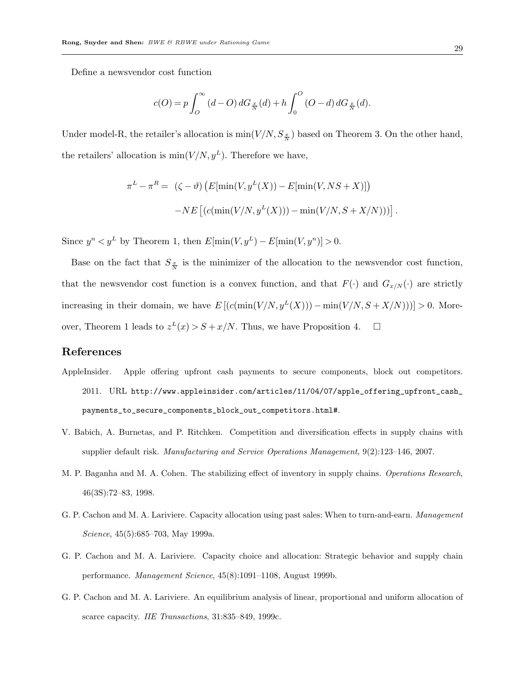Define a newsvendor cost function

$$
c(O) = p \int_O^{\infty} (d-O) dG_{\frac{x}{N}}(d) + h \int_O^O (O-d) dG_{\frac{x}{N}}(d).
$$

Under model-R, the retailer's allocation is  $\min(V/N, S_{\frac{x}{N}})$  based on Theorem 3. On the other hand, the retailers' allocation is  $\min(V/N, y^L)$ . Therefore we have,

$$
\pi^{L} - \pi^{R} = \left( \zeta - \vartheta \right) \left( E[\min(V, y^{L}(X)) - E[\min(V, NS + X)] \right)
$$

$$
-NE\left[ \left( c(\min(V/N, y^{L}(X))) - \min(V/N, S + X/N) \right) \right].
$$

Since  $y^n < y^L$  by Theorem 1, then  $E[\min(V, y^L) - E[\min(V, y^n)] > 0$ .

Base on the fact that  $S_{\frac{x}{N}}$  is the minimizer of the allocation to the newsvendor cost function, that the newsvendor cost function is a convex function, and that  $F(\cdot)$  and  $G_{x/N}(\cdot)$  are strictly increasing in their domain, we have  $E\left[\left(c(\min(V/N, y^L(X))\right) - \min(V/N, S + X/N))\right]\right] > 0$ . Moreover, Theorem 1 leads to  $z^L(x) > S + x/N$ . Thus, we have Proposition 4.  $\square$ 

# **References**

- AppleInsider. Apple offering upfront cash payments to secure components, block out competitors. 2011. URL http://www.appleinsider.com/articles/11/04/07/apple\_offering\_upfront\_cash\_ payments\_to\_secure\_components\_block\_out\_competitors.html#.
- V. Babich, A. Burnetas, and P. Ritchken. Competition and diversification effects in supply chains with supplier default risk. *Manufacturing and Service Operations Management*, 9(2):123–146, 2007.
- M. P. Baganha and M. A. Cohen. The stabilizing effect of inventory in supply chains. *Operations Research*, 46(3S):72–83, 1998.
- G. P. Cachon and M. A. Lariviere. Capacity allocation using past sales: When to turn-and-earn. *Management Science*, 45(5):685–703, May 1999a.
- G. P. Cachon and M. A. Lariviere. Capacity choice and allocation: Strategic behavior and supply chain performance. *Management Science*, 45(8):1091–1108, August 1999b.
- G. P. Cachon and M. A. Lariviere. An equilibrium analysis of linear, proportional and uniform allocation of scarce capacity. *IIE Transactions*, 31:835–849, 1999c.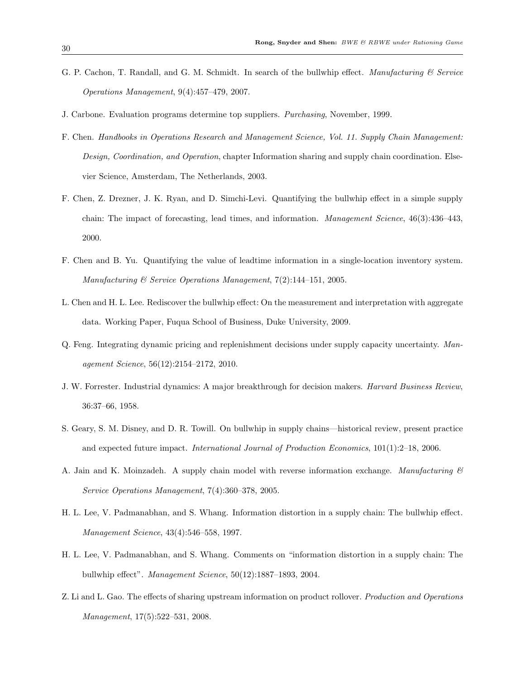- G. P. Cachon, T. Randall, and G. M. Schmidt. In search of the bullwhip effect. *Manufacturing & Service Operations Management*, 9(4):457–479, 2007.
- J. Carbone. Evaluation programs determine top suppliers. *Purchasing*, November, 1999.
- F. Chen. *Handbooks in Operations Research and Management Science, Vol. 11. Supply Chain Management: Design, Coordination, and Operation*, chapter Information sharing and supply chain coordination. Elsevier Science, Amsterdam, The Netherlands, 2003.
- F. Chen, Z. Drezner, J. K. Ryan, and D. Simchi-Levi. Quantifying the bullwhip effect in a simple supply chain: The impact of forecasting, lead times, and information. *Management Science*, 46(3):436–443, 2000.
- F. Chen and B. Yu. Quantifying the value of leadtime information in a single-location inventory system. *Manufacturing & Service Operations Management*, 7(2):144–151, 2005.
- L. Chen and H. L. Lee. Rediscover the bullwhip effect: On the measurement and interpretation with aggregate data. Working Paper, Fuqua School of Business, Duke University, 2009.
- Q. Feng. Integrating dynamic pricing and replenishment decisions under supply capacity uncertainty. *Management Science*, 56(12):2154–2172, 2010.
- J. W. Forrester. Industrial dynamics: A major breakthrough for decision makers. *Harvard Business Review*, 36:37–66, 1958.
- S. Geary, S. M. Disney, and D. R. Towill. On bullwhip in supply chains—historical review, present practice and expected future impact. *International Journal of Production Economics*, 101(1):2–18, 2006.
- A. Jain and K. Moinzadeh. A supply chain model with reverse information exchange. *Manufacturing & Service Operations Management*, 7(4):360–378, 2005.
- H. L. Lee, V. Padmanabhan, and S. Whang. Information distortion in a supply chain: The bullwhip effect. *Management Science*, 43(4):546–558, 1997.
- H. L. Lee, V. Padmanabhan, and S. Whang. Comments on "information distortion in a supply chain: The bullwhip effect". *Management Science*, 50(12):1887–1893, 2004.
- Z. Li and L. Gao. The effects of sharing upstream information on product rollover. *Production and Operations Management*, 17(5):522–531, 2008.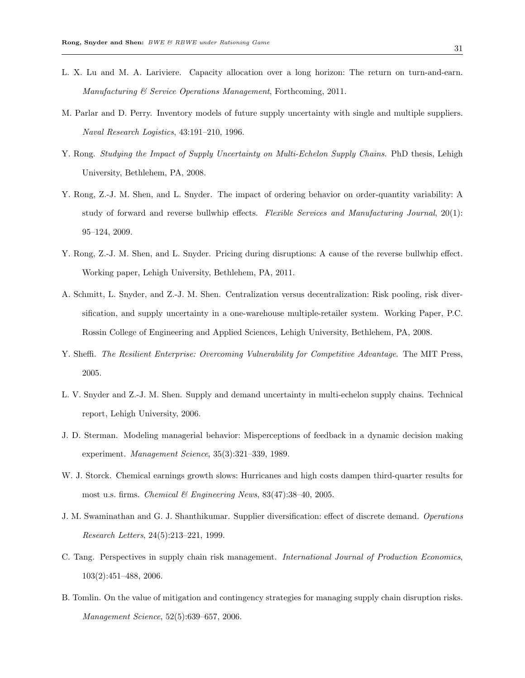- L. X. Lu and M. A. Lariviere. Capacity allocation over a long horizon: The return on turn-and-earn. *Manufacturing & Service Operations Management*, Forthcoming, 2011.
- M. Parlar and D. Perry. Inventory models of future supply uncertainty with single and multiple suppliers. *Naval Research Logistics*, 43:191–210, 1996.
- Y. Rong. *Studying the Impact of Supply Uncertainty on Multi-Echelon Supply Chains*. PhD thesis, Lehigh University, Bethlehem, PA, 2008.
- Y. Rong, Z.-J. M. Shen, and L. Snyder. The impact of ordering behavior on order-quantity variability: A study of forward and reverse bullwhip effects. *Flexible Services and Manufacturing Journal*, 20(1): 95–124, 2009.
- Y. Rong, Z.-J. M. Shen, and L. Snyder. Pricing during disruptions: A cause of the reverse bullwhip effect. Working paper, Lehigh University, Bethlehem, PA, 2011.
- A. Schmitt, L. Snyder, and Z.-J. M. Shen. Centralization versus decentralization: Risk pooling, risk diversification, and supply uncertainty in a one-warehouse multiple-retailer system. Working Paper, P.C. Rossin College of Engineering and Applied Sciences, Lehigh University, Bethlehem, PA, 2008.
- Y. Sheffi. *The Resilient Enterprise: Overcoming Vulnerability for Competitive Advantage*. The MIT Press, 2005.
- L. V. Snyder and Z.-J. M. Shen. Supply and demand uncertainty in multi-echelon supply chains. Technical report, Lehigh University, 2006.
- J. D. Sterman. Modeling managerial behavior: Misperceptions of feedback in a dynamic decision making experiment. *Management Science*, 35(3):321–339, 1989.
- W. J. Storck. Chemical earnings growth slows: Hurricanes and high costs dampen third-quarter results for most u.s. firms. *Chemical & Engineering News*, 83(47):38–40, 2005.
- J. M. Swaminathan and G. J. Shanthikumar. Supplier diversification: effect of discrete demand. *Operations Research Letters*, 24(5):213–221, 1999.
- C. Tang. Perspectives in supply chain risk management. *International Journal of Production Economics*, 103(2):451–488, 2006.
- B. Tomlin. On the value of mitigation and contingency strategies for managing supply chain disruption risks. *Management Science*, 52(5):639–657, 2006.